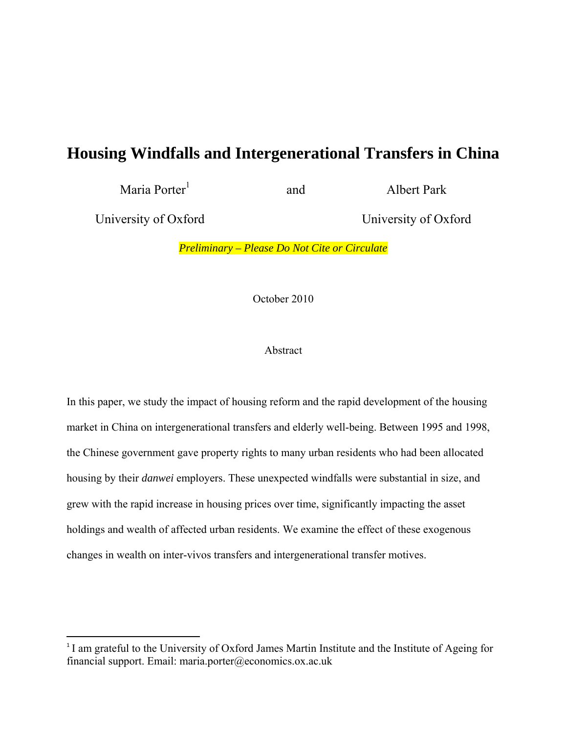# **Housing Windfalls and Intergenerational Transfers in China**

Maria Porter<sup>1</sup>

and Albert Park

University of Oxford University of Oxford

*Preliminary – Please Do Not Cite or Circulate* 

October 2010

# Abstract

In this paper, we study the impact of housing reform and the rapid development of the housing market in China on intergenerational transfers and elderly well-being. Between 1995 and 1998, the Chinese government gave property rights to many urban residents who had been allocated housing by their *danwei* employers. These unexpected windfalls were substantial in size, and grew with the rapid increase in housing prices over time, significantly impacting the asset holdings and wealth of affected urban residents. We examine the effect of these exogenous changes in wealth on inter-vivos transfers and intergenerational transfer motives.

<sup>&</sup>lt;sup>1</sup> I am grateful to the University of Oxford James Martin Institute and the Institute of Ageing for financial support. Email: maria.porter@economics.ox.ac.uk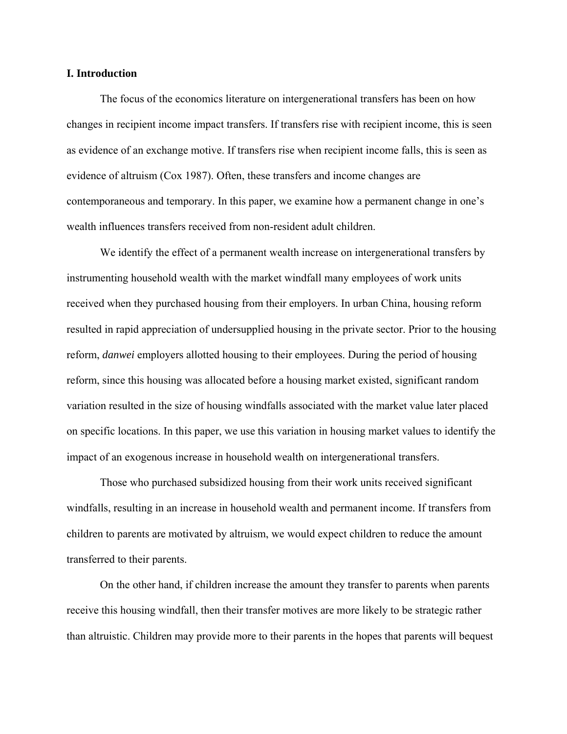### **I. Introduction**

The focus of the economics literature on intergenerational transfers has been on how changes in recipient income impact transfers. If transfers rise with recipient income, this is seen as evidence of an exchange motive. If transfers rise when recipient income falls, this is seen as evidence of altruism (Cox 1987). Often, these transfers and income changes are contemporaneous and temporary. In this paper, we examine how a permanent change in one's wealth influences transfers received from non-resident adult children.

We identify the effect of a permanent wealth increase on intergenerational transfers by instrumenting household wealth with the market windfall many employees of work units received when they purchased housing from their employers. In urban China, housing reform resulted in rapid appreciation of undersupplied housing in the private sector. Prior to the housing reform, *danwei* employers allotted housing to their employees. During the period of housing reform, since this housing was allocated before a housing market existed, significant random variation resulted in the size of housing windfalls associated with the market value later placed on specific locations. In this paper, we use this variation in housing market values to identify the impact of an exogenous increase in household wealth on intergenerational transfers.

Those who purchased subsidized housing from their work units received significant windfalls, resulting in an increase in household wealth and permanent income. If transfers from children to parents are motivated by altruism, we would expect children to reduce the amount transferred to their parents.

On the other hand, if children increase the amount they transfer to parents when parents receive this housing windfall, then their transfer motives are more likely to be strategic rather than altruistic. Children may provide more to their parents in the hopes that parents will bequest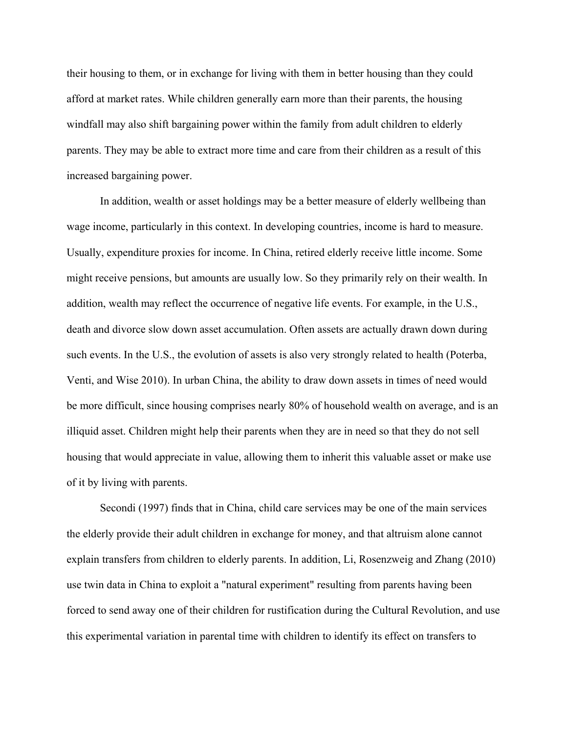their housing to them, or in exchange for living with them in better housing than they could afford at market rates. While children generally earn more than their parents, the housing windfall may also shift bargaining power within the family from adult children to elderly parents. They may be able to extract more time and care from their children as a result of this increased bargaining power.

In addition, wealth or asset holdings may be a better measure of elderly wellbeing than wage income, particularly in this context. In developing countries, income is hard to measure. Usually, expenditure proxies for income. In China, retired elderly receive little income. Some might receive pensions, but amounts are usually low. So they primarily rely on their wealth. In addition, wealth may reflect the occurrence of negative life events. For example, in the U.S., death and divorce slow down asset accumulation. Often assets are actually drawn down during such events. In the U.S., the evolution of assets is also very strongly related to health (Poterba, Venti, and Wise 2010). In urban China, the ability to draw down assets in times of need would be more difficult, since housing comprises nearly 80% of household wealth on average, and is an illiquid asset. Children might help their parents when they are in need so that they do not sell housing that would appreciate in value, allowing them to inherit this valuable asset or make use of it by living with parents.

Secondi (1997) finds that in China, child care services may be one of the main services the elderly provide their adult children in exchange for money, and that altruism alone cannot explain transfers from children to elderly parents. In addition, Li, Rosenzweig and Zhang (2010) use twin data in China to exploit a "natural experiment" resulting from parents having been forced to send away one of their children for rustification during the Cultural Revolution, and use this experimental variation in parental time with children to identify its effect on transfers to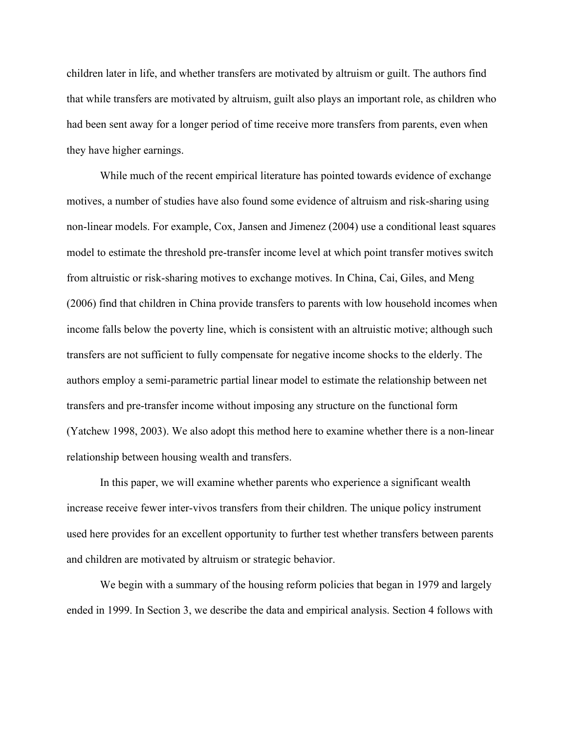children later in life, and whether transfers are motivated by altruism or guilt. The authors find that while transfers are motivated by altruism, guilt also plays an important role, as children who had been sent away for a longer period of time receive more transfers from parents, even when they have higher earnings.

While much of the recent empirical literature has pointed towards evidence of exchange motives, a number of studies have also found some evidence of altruism and risk-sharing using non-linear models. For example, Cox, Jansen and Jimenez (2004) use a conditional least squares model to estimate the threshold pre-transfer income level at which point transfer motives switch from altruistic or risk-sharing motives to exchange motives. In China, Cai, Giles, and Meng (2006) find that children in China provide transfers to parents with low household incomes when income falls below the poverty line, which is consistent with an altruistic motive; although such transfers are not sufficient to fully compensate for negative income shocks to the elderly. The authors employ a semi-parametric partial linear model to estimate the relationship between net transfers and pre-transfer income without imposing any structure on the functional form (Yatchew 1998, 2003). We also adopt this method here to examine whether there is a non-linear relationship between housing wealth and transfers.

In this paper, we will examine whether parents who experience a significant wealth increase receive fewer inter-vivos transfers from their children. The unique policy instrument used here provides for an excellent opportunity to further test whether transfers between parents and children are motivated by altruism or strategic behavior.

We begin with a summary of the housing reform policies that began in 1979 and largely ended in 1999. In Section 3, we describe the data and empirical analysis. Section 4 follows with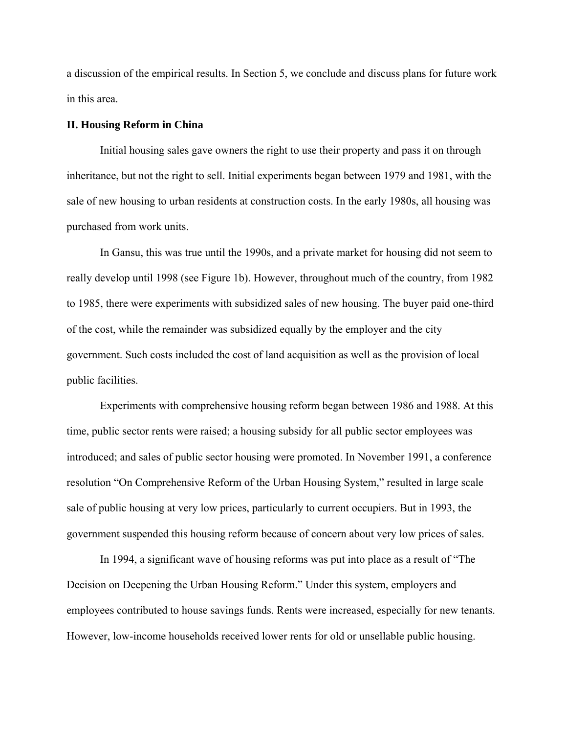a discussion of the empirical results. In Section 5, we conclude and discuss plans for future work in this area.

### **II. Housing Reform in China**

Initial housing sales gave owners the right to use their property and pass it on through inheritance, but not the right to sell. Initial experiments began between 1979 and 1981, with the sale of new housing to urban residents at construction costs. In the early 1980s, all housing was purchased from work units.

In Gansu, this was true until the 1990s, and a private market for housing did not seem to really develop until 1998 (see Figure 1b). However, throughout much of the country, from 1982 to 1985, there were experiments with subsidized sales of new housing. The buyer paid one-third of the cost, while the remainder was subsidized equally by the employer and the city government. Such costs included the cost of land acquisition as well as the provision of local public facilities.

Experiments with comprehensive housing reform began between 1986 and 1988. At this time, public sector rents were raised; a housing subsidy for all public sector employees was introduced; and sales of public sector housing were promoted. In November 1991, a conference resolution "On Comprehensive Reform of the Urban Housing System," resulted in large scale sale of public housing at very low prices, particularly to current occupiers. But in 1993, the government suspended this housing reform because of concern about very low prices of sales.

In 1994, a significant wave of housing reforms was put into place as a result of "The Decision on Deepening the Urban Housing Reform." Under this system, employers and employees contributed to house savings funds. Rents were increased, especially for new tenants. However, low-income households received lower rents for old or unsellable public housing.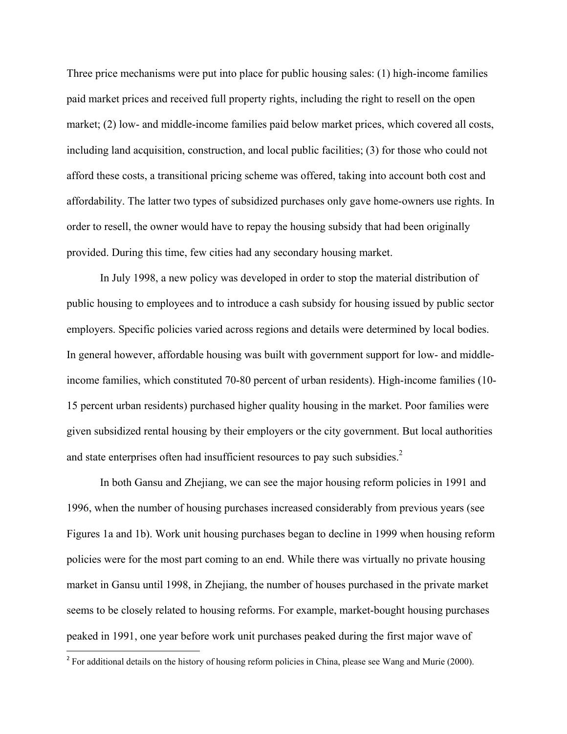Three price mechanisms were put into place for public housing sales: (1) high-income families paid market prices and received full property rights, including the right to resell on the open market; (2) low- and middle-income families paid below market prices, which covered all costs, including land acquisition, construction, and local public facilities; (3) for those who could not afford these costs, a transitional pricing scheme was offered, taking into account both cost and affordability. The latter two types of subsidized purchases only gave home-owners use rights. In order to resell, the owner would have to repay the housing subsidy that had been originally provided. During this time, few cities had any secondary housing market.

In July 1998, a new policy was developed in order to stop the material distribution of public housing to employees and to introduce a cash subsidy for housing issued by public sector employers. Specific policies varied across regions and details were determined by local bodies. In general however, affordable housing was built with government support for low- and middleincome families, which constituted 70-80 percent of urban residents). High-income families (10- 15 percent urban residents) purchased higher quality housing in the market. Poor families were given subsidized rental housing by their employers or the city government. But local authorities and state enterprises often had insufficient resources to pay such subsidies. $2$ 

In both Gansu and Zhejiang, we can see the major housing reform policies in 1991 and 1996, when the number of housing purchases increased considerably from previous years (see Figures 1a and 1b). Work unit housing purchases began to decline in 1999 when housing reform policies were for the most part coming to an end. While there was virtually no private housing market in Gansu until 1998, in Zhejiang, the number of houses purchased in the private market seems to be closely related to housing reforms. For example, market-bought housing purchases peaked in 1991, one year before work unit purchases peaked during the first major wave of

<sup>&</sup>lt;sup>2</sup> For additional details on the history of housing reform policies in China, please see Wang and Murie (2000).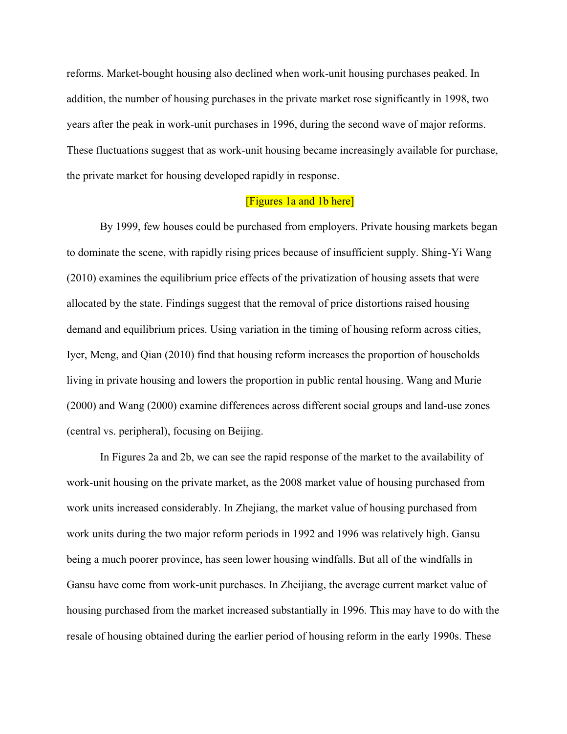reforms. Market-bought housing also declined when work-unit housing purchases peaked. In addition, the number of housing purchases in the private market rose significantly in 1998, two years after the peak in work-unit purchases in 1996, during the second wave of major reforms. These fluctuations suggest that as work-unit housing became increasingly available for purchase, the private market for housing developed rapidly in response.

# [Figures 1a and 1b here]

By 1999, few houses could be purchased from employers. Private housing markets began to dominate the scene, with rapidly rising prices because of insufficient supply. Shing-Yi Wang (2010) examines the equilibrium price effects of the privatization of housing assets that were allocated by the state. Findings suggest that the removal of price distortions raised housing demand and equilibrium prices. Using variation in the timing of housing reform across cities, Iyer, Meng, and Qian (2010) find that housing reform increases the proportion of households living in private housing and lowers the proportion in public rental housing. Wang and Murie (2000) and Wang (2000) examine differences across different social groups and land-use zones (central vs. peripheral), focusing on Beijing.

In Figures 2a and 2b, we can see the rapid response of the market to the availability of work-unit housing on the private market, as the 2008 market value of housing purchased from work units increased considerably. In Zhejiang, the market value of housing purchased from work units during the two major reform periods in 1992 and 1996 was relatively high. Gansu being a much poorer province, has seen lower housing windfalls. But all of the windfalls in Gansu have come from work-unit purchases. In Zheijiang, the average current market value of housing purchased from the market increased substantially in 1996. This may have to do with the resale of housing obtained during the earlier period of housing reform in the early 1990s. These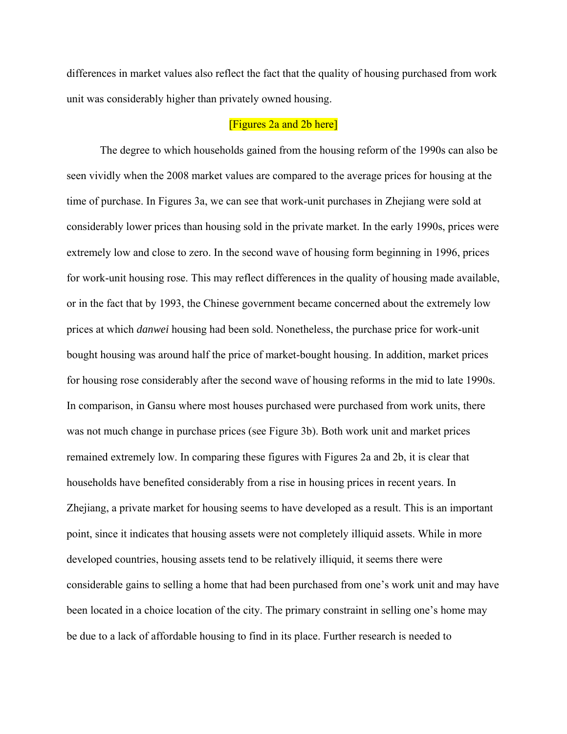differences in market values also reflect the fact that the quality of housing purchased from work unit was considerably higher than privately owned housing.

# [Figures 2a and 2b here]

 The degree to which households gained from the housing reform of the 1990s can also be seen vividly when the 2008 market values are compared to the average prices for housing at the time of purchase. In Figures 3a, we can see that work-unit purchases in Zhejiang were sold at considerably lower prices than housing sold in the private market. In the early 1990s, prices were extremely low and close to zero. In the second wave of housing form beginning in 1996, prices for work-unit housing rose. This may reflect differences in the quality of housing made available, or in the fact that by 1993, the Chinese government became concerned about the extremely low prices at which *danwei* housing had been sold. Nonetheless, the purchase price for work-unit bought housing was around half the price of market-bought housing. In addition, market prices for housing rose considerably after the second wave of housing reforms in the mid to late 1990s. In comparison, in Gansu where most houses purchased were purchased from work units, there was not much change in purchase prices (see Figure 3b). Both work unit and market prices remained extremely low. In comparing these figures with Figures 2a and 2b, it is clear that households have benefited considerably from a rise in housing prices in recent years. In Zhejiang, a private market for housing seems to have developed as a result. This is an important point, since it indicates that housing assets were not completely illiquid assets. While in more developed countries, housing assets tend to be relatively illiquid, it seems there were considerable gains to selling a home that had been purchased from one's work unit and may have been located in a choice location of the city. The primary constraint in selling one's home may be due to a lack of affordable housing to find in its place. Further research is needed to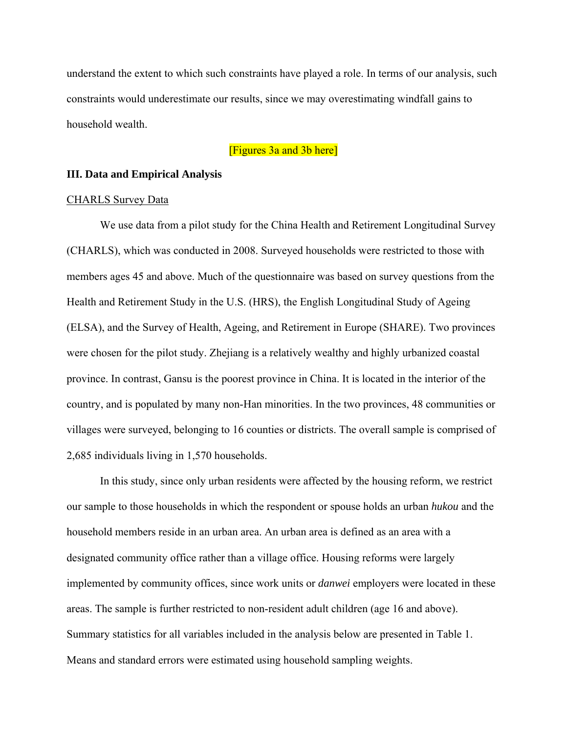understand the extent to which such constraints have played a role. In terms of our analysis, such constraints would underestimate our results, since we may overestimating windfall gains to household wealth.

# [Figures 3a and 3b here]

### **III. Data and Empirical Analysis**

### CHARLS Survey Data

We use data from a pilot study for the China Health and Retirement Longitudinal Survey (CHARLS), which was conducted in 2008. Surveyed households were restricted to those with members ages 45 and above. Much of the questionnaire was based on survey questions from the Health and Retirement Study in the U.S. (HRS), the English Longitudinal Study of Ageing (ELSA), and the Survey of Health, Ageing, and Retirement in Europe (SHARE). Two provinces were chosen for the pilot study. Zhejiang is a relatively wealthy and highly urbanized coastal province. In contrast, Gansu is the poorest province in China. It is located in the interior of the country, and is populated by many non-Han minorities. In the two provinces, 48 communities or villages were surveyed, belonging to 16 counties or districts. The overall sample is comprised of 2,685 individuals living in 1,570 households.

In this study, since only urban residents were affected by the housing reform, we restrict our sample to those households in which the respondent or spouse holds an urban *hukou* and the household members reside in an urban area. An urban area is defined as an area with a designated community office rather than a village office. Housing reforms were largely implemented by community offices, since work units or *danwei* employers were located in these areas. The sample is further restricted to non-resident adult children (age 16 and above). Summary statistics for all variables included in the analysis below are presented in Table 1. Means and standard errors were estimated using household sampling weights.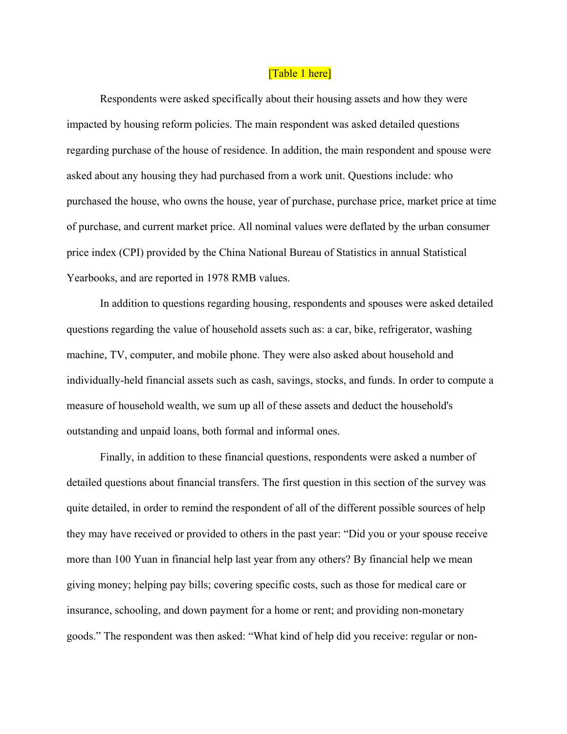### [Table 1 here]

Respondents were asked specifically about their housing assets and how they were impacted by housing reform policies. The main respondent was asked detailed questions regarding purchase of the house of residence. In addition, the main respondent and spouse were asked about any housing they had purchased from a work unit. Questions include: who purchased the house, who owns the house, year of purchase, purchase price, market price at time of purchase, and current market price. All nominal values were deflated by the urban consumer price index (CPI) provided by the China National Bureau of Statistics in annual Statistical Yearbooks, and are reported in 1978 RMB values.

In addition to questions regarding housing, respondents and spouses were asked detailed questions regarding the value of household assets such as: a car, bike, refrigerator, washing machine, TV, computer, and mobile phone. They were also asked about household and individually-held financial assets such as cash, savings, stocks, and funds. In order to compute a measure of household wealth, we sum up all of these assets and deduct the household's outstanding and unpaid loans, both formal and informal ones.

Finally, in addition to these financial questions, respondents were asked a number of detailed questions about financial transfers. The first question in this section of the survey was quite detailed, in order to remind the respondent of all of the different possible sources of help they may have received or provided to others in the past year: "Did you or your spouse receive more than 100 Yuan in financial help last year from any others? By financial help we mean giving money; helping pay bills; covering specific costs, such as those for medical care or insurance, schooling, and down payment for a home or rent; and providing non-monetary goods." The respondent was then asked: "What kind of help did you receive: regular or non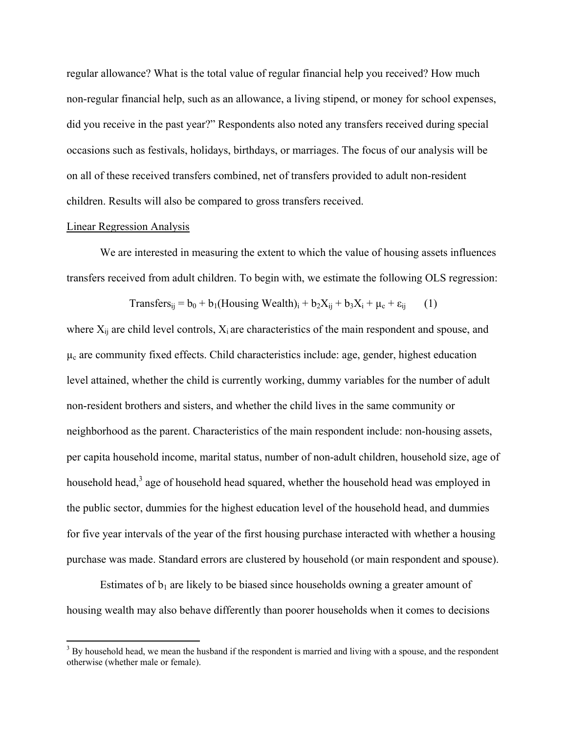regular allowance? What is the total value of regular financial help you received? How much non-regular financial help, such as an allowance, a living stipend, or money for school expenses, did you receive in the past year?" Respondents also noted any transfers received during special occasions such as festivals, holidays, birthdays, or marriages. The focus of our analysis will be on all of these received transfers combined, net of transfers provided to adult non-resident children. Results will also be compared to gross transfers received.

### Linear Regression Analysis

We are interested in measuring the extent to which the value of housing assets influences transfers received from adult children. To begin with, we estimate the following OLS regression:

Transfers<sub>ij</sub> = b<sub>0</sub> + b<sub>1</sub>(Housing Wealth)<sub>i</sub> + b<sub>2</sub>X<sub>ij</sub> + b<sub>3</sub>X<sub>i</sub> + 
$$
\mu_c
$$
 +  $\varepsilon_{ij}$  (1)

where  $X_{ii}$  are child level controls,  $X_i$  are characteristics of the main respondent and spouse, and  $\mu_c$  are community fixed effects. Child characteristics include: age, gender, highest education level attained, whether the child is currently working, dummy variables for the number of adult non-resident brothers and sisters, and whether the child lives in the same community or neighborhood as the parent. Characteristics of the main respondent include: non-housing assets, per capita household income, marital status, number of non-adult children, household size, age of household head,<sup>3</sup> age of household head squared, whether the household head was employed in the public sector, dummies for the highest education level of the household head, and dummies for five year intervals of the year of the first housing purchase interacted with whether a housing purchase was made. Standard errors are clustered by household (or main respondent and spouse).

Estimates of  $b_1$  are likely to be biased since households owning a greater amount of housing wealth may also behave differently than poorer households when it comes to decisions

<sup>&</sup>lt;sup>3</sup> By household head, we mean the husband if the respondent is married and living with a spouse, and the respondent otherwise (whether male or female).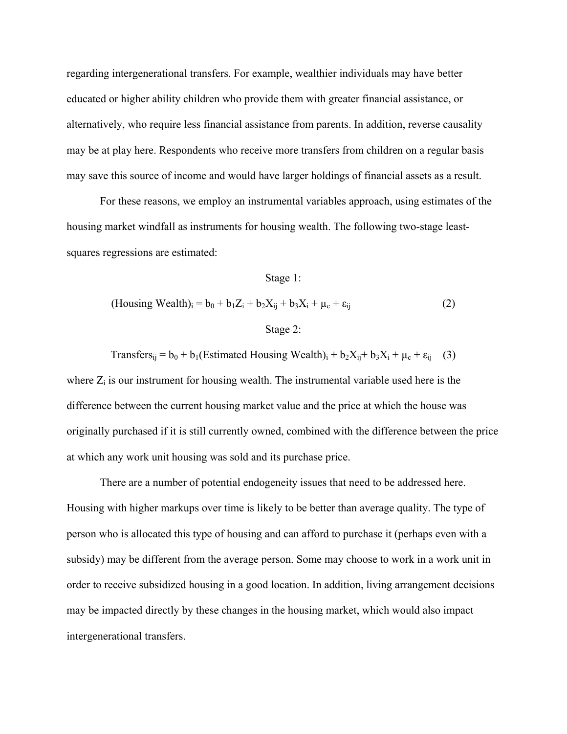regarding intergenerational transfers. For example, wealthier individuals may have better educated or higher ability children who provide them with greater financial assistance, or alternatively, who require less financial assistance from parents. In addition, reverse causality may be at play here. Respondents who receive more transfers from children on a regular basis may save this source of income and would have larger holdings of financial assets as a result.

 For these reasons, we employ an instrumental variables approach, using estimates of the housing market windfall as instruments for housing wealth. The following two-stage leastsquares regressions are estimated:

#### Stage 1:

(Housing Wealth)<sub>i</sub> = 
$$
b_0 + b_1 Z_i + b_2 X_{ij} + b_3 X_i + \mu_c + \varepsilon_{ij}
$$
 (2)  
Stage 2:

Transfers<sub>ij</sub> =  $b_0$  +  $b_1$ (Estimated Housing Wealth)<sub>i</sub> +  $b_2X_{ij}$ +  $b_3X_i$  +  $\mu_c$  +  $\varepsilon_{ij}$  (3)

where  $Z_i$  is our instrument for housing wealth. The instrumental variable used here is the difference between the current housing market value and the price at which the house was originally purchased if it is still currently owned, combined with the difference between the price at which any work unit housing was sold and its purchase price.

There are a number of potential endogeneity issues that need to be addressed here. Housing with higher markups over time is likely to be better than average quality. The type of person who is allocated this type of housing and can afford to purchase it (perhaps even with a subsidy) may be different from the average person. Some may choose to work in a work unit in order to receive subsidized housing in a good location. In addition, living arrangement decisions may be impacted directly by these changes in the housing market, which would also impact intergenerational transfers.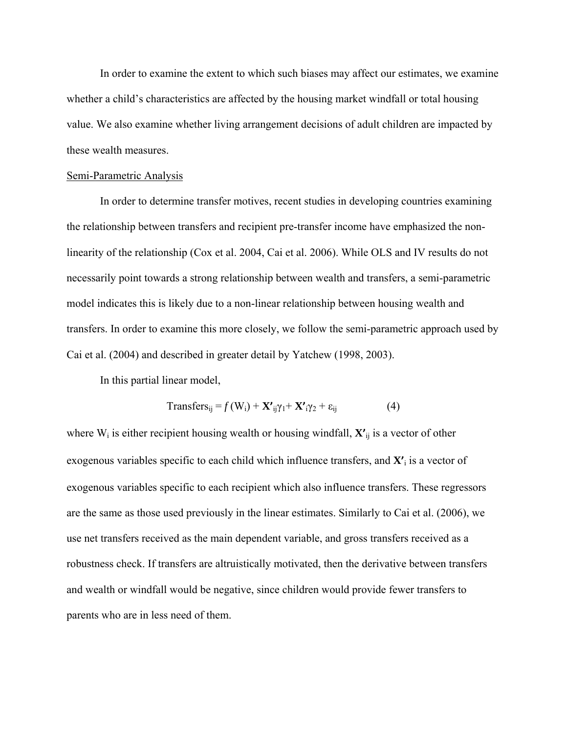In order to examine the extent to which such biases may affect our estimates, we examine whether a child's characteristics are affected by the housing market windfall or total housing value. We also examine whether living arrangement decisions of adult children are impacted by these wealth measures.

### Semi-Parametric Analysis

 In order to determine transfer motives, recent studies in developing countries examining the relationship between transfers and recipient pre-transfer income have emphasized the nonlinearity of the relationship (Cox et al. 2004, Cai et al. 2006). While OLS and IV results do not necessarily point towards a strong relationship between wealth and transfers, a semi-parametric model indicates this is likely due to a non-linear relationship between housing wealth and transfers. In order to examine this more closely, we follow the semi-parametric approach used by Cai et al. (2004) and described in greater detail by Yatchew (1998, 2003).

In this partial linear model,

$$
Transfers_{ij} = f(W_i) + \mathbf{X'}_{ij} \gamma_1 + \mathbf{X'}_{i} \gamma_2 + \varepsilon_{ij}
$$
 (4)

where W<sub>i</sub> is either recipient housing wealth or housing windfall,  $\mathbf{X'}_{ij}$  is a vector of other exogenous variables specific to each child which influence transfers, and **X'**i is a vector of exogenous variables specific to each recipient which also influence transfers. These regressors are the same as those used previously in the linear estimates. Similarly to Cai et al. (2006), we use net transfers received as the main dependent variable, and gross transfers received as a robustness check. If transfers are altruistically motivated, then the derivative between transfers and wealth or windfall would be negative, since children would provide fewer transfers to parents who are in less need of them.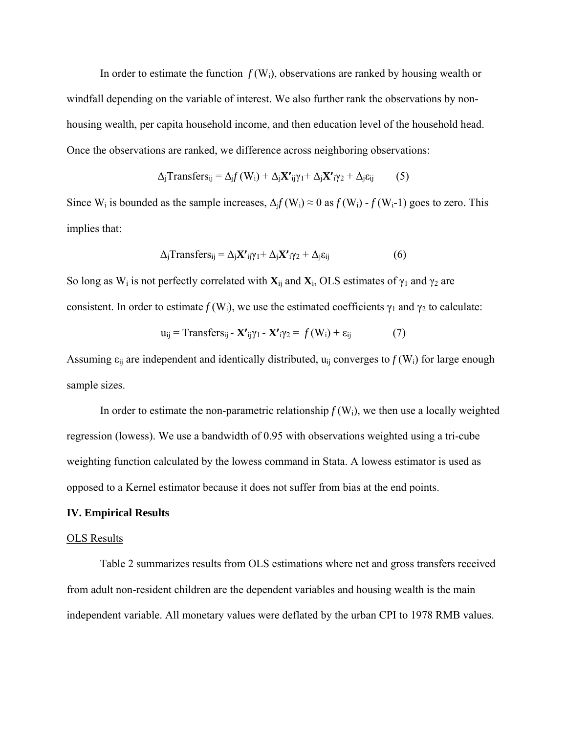In order to estimate the function  $f(W_i)$ , observations are ranked by housing wealth or windfall depending on the variable of interest. We also further rank the observations by nonhousing wealth, per capita household income, and then education level of the household head. Once the observations are ranked, we difference across neighboring observations:

$$
\Delta_j \text{Transfers}_{ij} = \Delta_j f(W_i) + \Delta_j \mathbf{X'}_{ij} \gamma_1 + \Delta_j \mathbf{X'}_i \gamma_2 + \Delta_j \epsilon_{ij} \tag{5}
$$

Since W<sub>i</sub> is bounded as the sample increases,  $\Delta_i f(W_i) \approx 0$  as  $f(W_i) - f(W_i-1)$  goes to zero. This implies that:

$$
\Delta_j \text{Transfers}_{ij} = \Delta_j \mathbf{X'}_{ij} \gamma_1 + \Delta_j \mathbf{X'}_{i} \gamma_2 + \Delta_j \varepsilon_{ij}
$$
(6)

So long as W<sub>i</sub> is not perfectly correlated with  $\mathbf{X}_{ij}$  and  $\mathbf{X}_i$ , OLS estimates of  $\gamma_1$  and  $\gamma_2$  are consistent. In order to estimate  $f(W_i)$ , we use the estimated coefficients  $\gamma_1$  and  $\gamma_2$  to calculate:

$$
\mathbf{u}_{ij} = \text{Transfers}_{ij} - \mathbf{X'}_{ij}\gamma_1 - \mathbf{X'}_{i}\gamma_2 = f(\mathbf{W}_i) + \varepsilon_{ij} \tag{7}
$$

Assuming  $\varepsilon_{ii}$  are independent and identically distributed,  $u_{ii}$  converges to  $f(W_i)$  for large enough sample sizes.

In order to estimate the non-parametric relationship  $f(W_i)$ , we then use a locally weighted regression (lowess). We use a bandwidth of 0.95 with observations weighted using a tri-cube weighting function calculated by the lowess command in Stata. A lowess estimator is used as opposed to a Kernel estimator because it does not suffer from bias at the end points.

### **IV. Empirical Results**

#### OLS Results

 Table 2 summarizes results from OLS estimations where net and gross transfers received from adult non-resident children are the dependent variables and housing wealth is the main independent variable. All monetary values were deflated by the urban CPI to 1978 RMB values.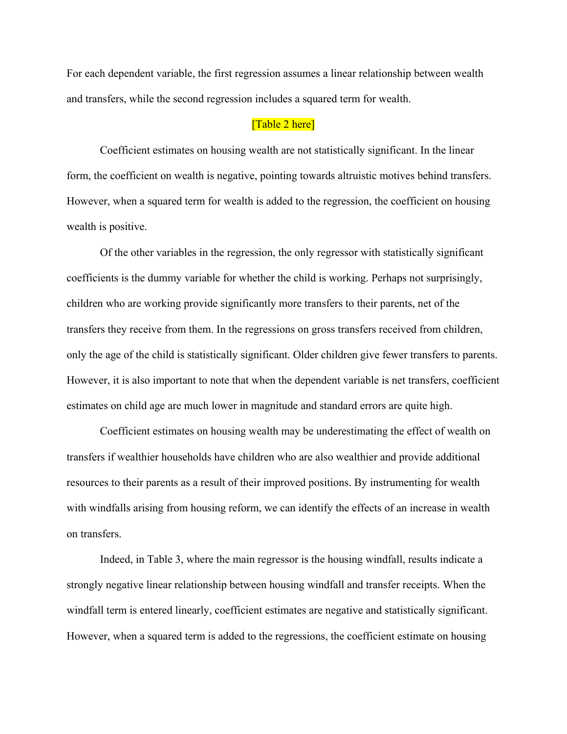For each dependent variable, the first regression assumes a linear relationship between wealth and transfers, while the second regression includes a squared term for wealth.

# [Table 2 here]

 Coefficient estimates on housing wealth are not statistically significant. In the linear form, the coefficient on wealth is negative, pointing towards altruistic motives behind transfers. However, when a squared term for wealth is added to the regression, the coefficient on housing wealth is positive.

Of the other variables in the regression, the only regressor with statistically significant coefficients is the dummy variable for whether the child is working. Perhaps not surprisingly, children who are working provide significantly more transfers to their parents, net of the transfers they receive from them. In the regressions on gross transfers received from children, only the age of the child is statistically significant. Older children give fewer transfers to parents. However, it is also important to note that when the dependent variable is net transfers, coefficient estimates on child age are much lower in magnitude and standard errors are quite high.

Coefficient estimates on housing wealth may be underestimating the effect of wealth on transfers if wealthier households have children who are also wealthier and provide additional resources to their parents as a result of their improved positions. By instrumenting for wealth with windfalls arising from housing reform, we can identify the effects of an increase in wealth on transfers.

Indeed, in Table 3, where the main regressor is the housing windfall, results indicate a strongly negative linear relationship between housing windfall and transfer receipts. When the windfall term is entered linearly, coefficient estimates are negative and statistically significant. However, when a squared term is added to the regressions, the coefficient estimate on housing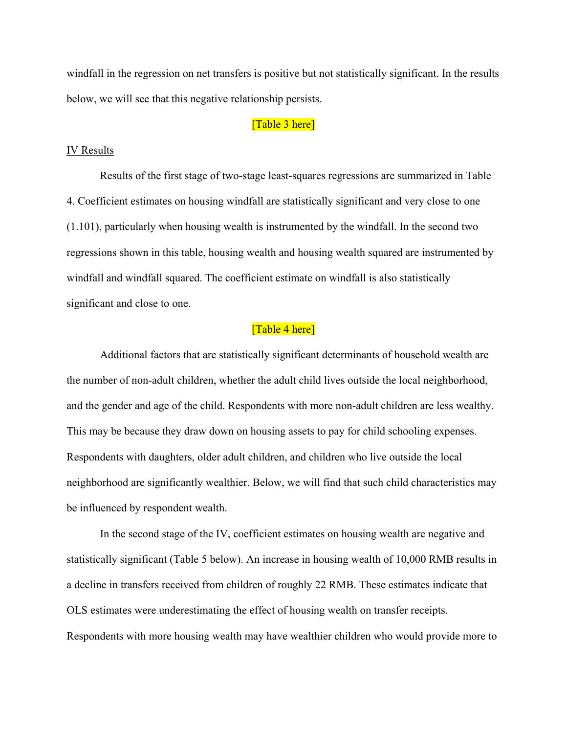windfall in the regression on net transfers is positive but not statistically significant. In the results below, we will see that this negative relationship persists.

# [Table 3 here]

### IV Results

 Results of the first stage of two-stage least-squares regressions are summarized in Table 4. Coefficient estimates on housing windfall are statistically significant and very close to one (1.101), particularly when housing wealth is instrumented by the windfall. In the second two regressions shown in this table, housing wealth and housing wealth squared are instrumented by windfall and windfall squared. The coefficient estimate on windfall is also statistically significant and close to one.

# [Table 4 here]

 Additional factors that are statistically significant determinants of household wealth are the number of non-adult children, whether the adult child lives outside the local neighborhood, and the gender and age of the child. Respondents with more non-adult children are less wealthy. This may be because they draw down on housing assets to pay for child schooling expenses. Respondents with daughters, older adult children, and children who live outside the local neighborhood are significantly wealthier. Below, we will find that such child characteristics may be influenced by respondent wealth.

In the second stage of the IV, coefficient estimates on housing wealth are negative and statistically significant (Table 5 below). An increase in housing wealth of 10,000 RMB results in a decline in transfers received from children of roughly 22 RMB. These estimates indicate that OLS estimates were underestimating the effect of housing wealth on transfer receipts. Respondents with more housing wealth may have wealthier children who would provide more to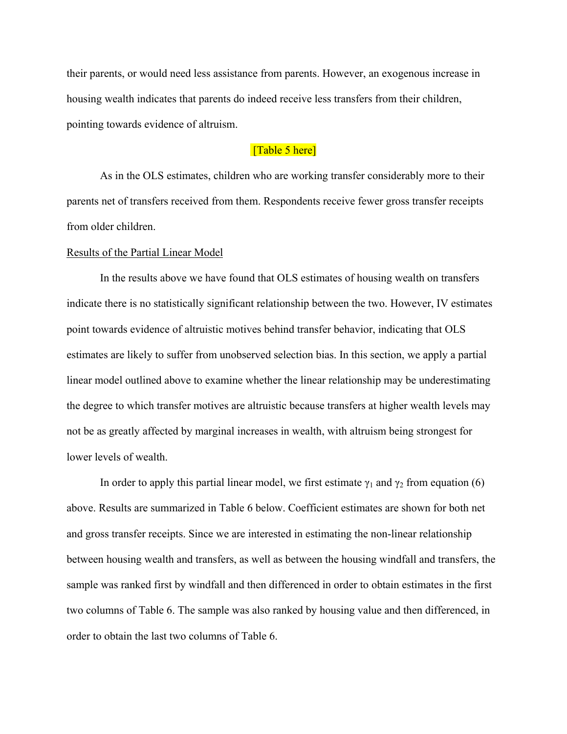their parents, or would need less assistance from parents. However, an exogenous increase in housing wealth indicates that parents do indeed receive less transfers from their children, pointing towards evidence of altruism.

# [Table 5 here]

As in the OLS estimates, children who are working transfer considerably more to their parents net of transfers received from them. Respondents receive fewer gross transfer receipts from older children.

#### Results of the Partial Linear Model

 In the results above we have found that OLS estimates of housing wealth on transfers indicate there is no statistically significant relationship between the two. However, IV estimates point towards evidence of altruistic motives behind transfer behavior, indicating that OLS estimates are likely to suffer from unobserved selection bias. In this section, we apply a partial linear model outlined above to examine whether the linear relationship may be underestimating the degree to which transfer motives are altruistic because transfers at higher wealth levels may not be as greatly affected by marginal increases in wealth, with altruism being strongest for lower levels of wealth.

In order to apply this partial linear model, we first estimate  $\gamma_1$  and  $\gamma_2$  from equation (6) above. Results are summarized in Table 6 below. Coefficient estimates are shown for both net and gross transfer receipts. Since we are interested in estimating the non-linear relationship between housing wealth and transfers, as well as between the housing windfall and transfers, the sample was ranked first by windfall and then differenced in order to obtain estimates in the first two columns of Table 6. The sample was also ranked by housing value and then differenced, in order to obtain the last two columns of Table 6.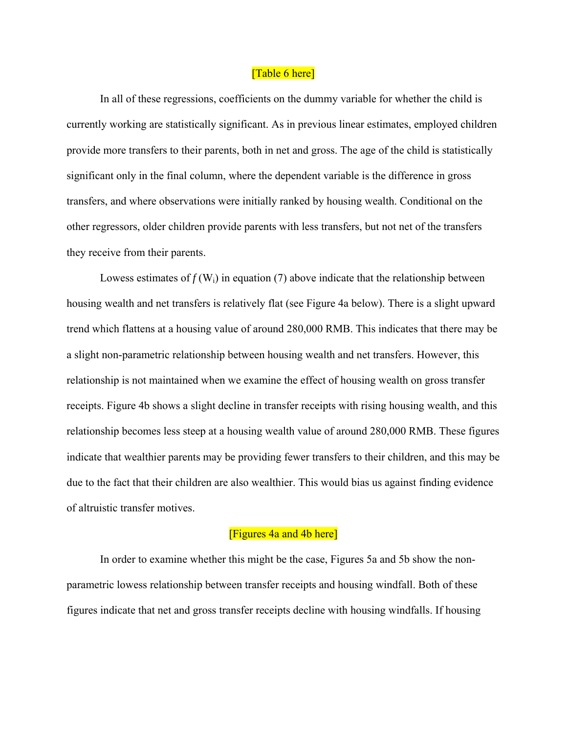# [Table 6 here]

 In all of these regressions, coefficients on the dummy variable for whether the child is currently working are statistically significant. As in previous linear estimates, employed children provide more transfers to their parents, both in net and gross. The age of the child is statistically significant only in the final column, where the dependent variable is the difference in gross transfers, and where observations were initially ranked by housing wealth. Conditional on the other regressors, older children provide parents with less transfers, but not net of the transfers they receive from their parents.

Lowess estimates of  $f(W_i)$  in equation (7) above indicate that the relationship between housing wealth and net transfers is relatively flat (see Figure 4a below). There is a slight upward trend which flattens at a housing value of around 280,000 RMB. This indicates that there may be a slight non-parametric relationship between housing wealth and net transfers. However, this relationship is not maintained when we examine the effect of housing wealth on gross transfer receipts. Figure 4b shows a slight decline in transfer receipts with rising housing wealth, and this relationship becomes less steep at a housing wealth value of around 280,000 RMB. These figures indicate that wealthier parents may be providing fewer transfers to their children, and this may be due to the fact that their children are also wealthier. This would bias us against finding evidence of altruistic transfer motives.

# [Figures 4a and 4b here]

 In order to examine whether this might be the case, Figures 5a and 5b show the nonparametric lowess relationship between transfer receipts and housing windfall. Both of these figures indicate that net and gross transfer receipts decline with housing windfalls. If housing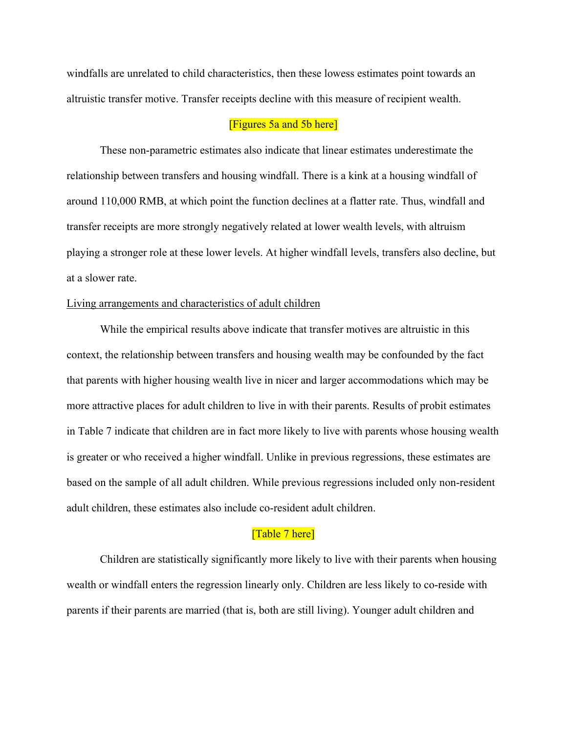windfalls are unrelated to child characteristics, then these lowess estimates point towards an altruistic transfer motive. Transfer receipts decline with this measure of recipient wealth.

# [Figures 5a and 5b here]

 These non-parametric estimates also indicate that linear estimates underestimate the relationship between transfers and housing windfall. There is a kink at a housing windfall of around 110,000 RMB, at which point the function declines at a flatter rate. Thus, windfall and transfer receipts are more strongly negatively related at lower wealth levels, with altruism playing a stronger role at these lower levels. At higher windfall levels, transfers also decline, but at a slower rate.

# Living arrangements and characteristics of adult children

 While the empirical results above indicate that transfer motives are altruistic in this context, the relationship between transfers and housing wealth may be confounded by the fact that parents with higher housing wealth live in nicer and larger accommodations which may be more attractive places for adult children to live in with their parents. Results of probit estimates in Table 7 indicate that children are in fact more likely to live with parents whose housing wealth is greater or who received a higher windfall. Unlike in previous regressions, these estimates are based on the sample of all adult children. While previous regressions included only non-resident adult children, these estimates also include co-resident adult children.

### [Table 7 here]

 Children are statistically significantly more likely to live with their parents when housing wealth or windfall enters the regression linearly only. Children are less likely to co-reside with parents if their parents are married (that is, both are still living). Younger adult children and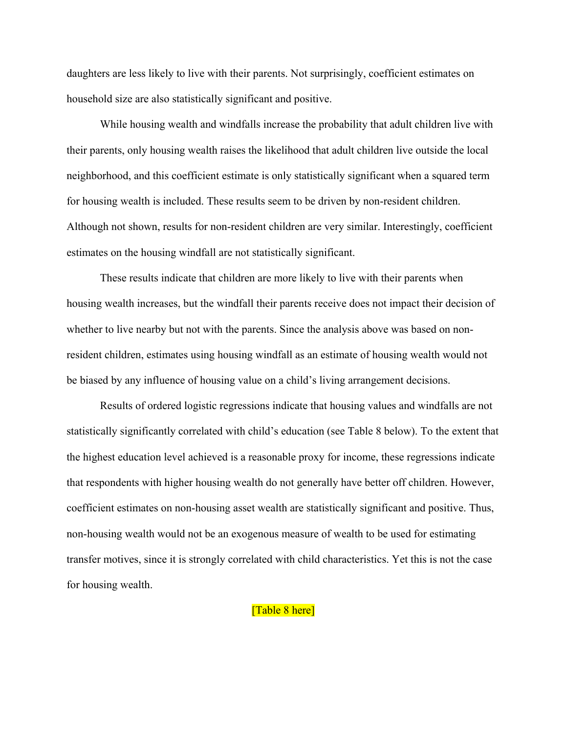daughters are less likely to live with their parents. Not surprisingly, coefficient estimates on household size are also statistically significant and positive.

 While housing wealth and windfalls increase the probability that adult children live with their parents, only housing wealth raises the likelihood that adult children live outside the local neighborhood, and this coefficient estimate is only statistically significant when a squared term for housing wealth is included. These results seem to be driven by non-resident children. Although not shown, results for non-resident children are very similar. Interestingly, coefficient estimates on the housing windfall are not statistically significant.

These results indicate that children are more likely to live with their parents when housing wealth increases, but the windfall their parents receive does not impact their decision of whether to live nearby but not with the parents. Since the analysis above was based on nonresident children, estimates using housing windfall as an estimate of housing wealth would not be biased by any influence of housing value on a child's living arrangement decisions.

Results of ordered logistic regressions indicate that housing values and windfalls are not statistically significantly correlated with child's education (see Table 8 below). To the extent that the highest education level achieved is a reasonable proxy for income, these regressions indicate that respondents with higher housing wealth do not generally have better off children. However, coefficient estimates on non-housing asset wealth are statistically significant and positive. Thus, non-housing wealth would not be an exogenous measure of wealth to be used for estimating transfer motives, since it is strongly correlated with child characteristics. Yet this is not the case for housing wealth.

# [Table 8 here]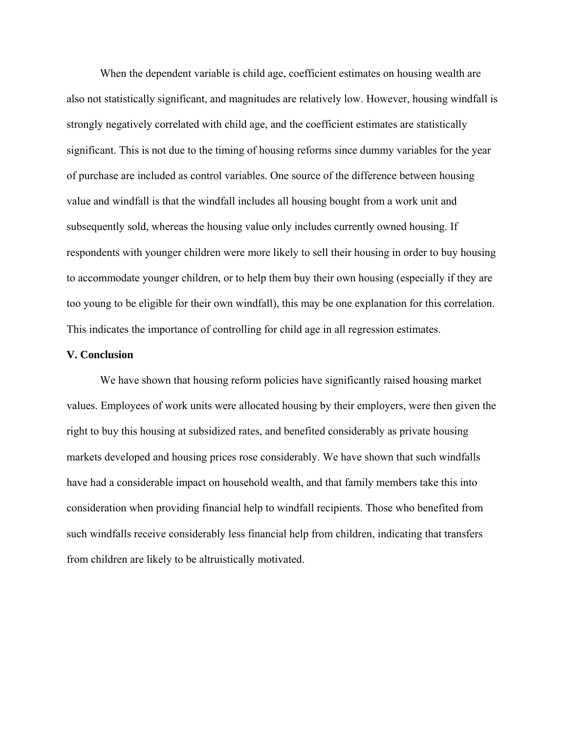When the dependent variable is child age, coefficient estimates on housing wealth are also not statistically significant, and magnitudes are relatively low. However, housing windfall is strongly negatively correlated with child age, and the coefficient estimates are statistically significant. This is not due to the timing of housing reforms since dummy variables for the year of purchase are included as control variables. One source of the difference between housing value and windfall is that the windfall includes all housing bought from a work unit and subsequently sold, whereas the housing value only includes currently owned housing. If respondents with younger children were more likely to sell their housing in order to buy housing to accommodate younger children, or to help them buy their own housing (especially if they are too young to be eligible for their own windfall), this may be one explanation for this correlation. This indicates the importance of controlling for child age in all regression estimates.

### **V. Conclusion**

We have shown that housing reform policies have significantly raised housing market values. Employees of work units were allocated housing by their employers, were then given the right to buy this housing at subsidized rates, and benefited considerably as private housing markets developed and housing prices rose considerably. We have shown that such windfalls have had a considerable impact on household wealth, and that family members take this into consideration when providing financial help to windfall recipients. Those who benefited from such windfalls receive considerably less financial help from children, indicating that transfers from children are likely to be altruistically motivated.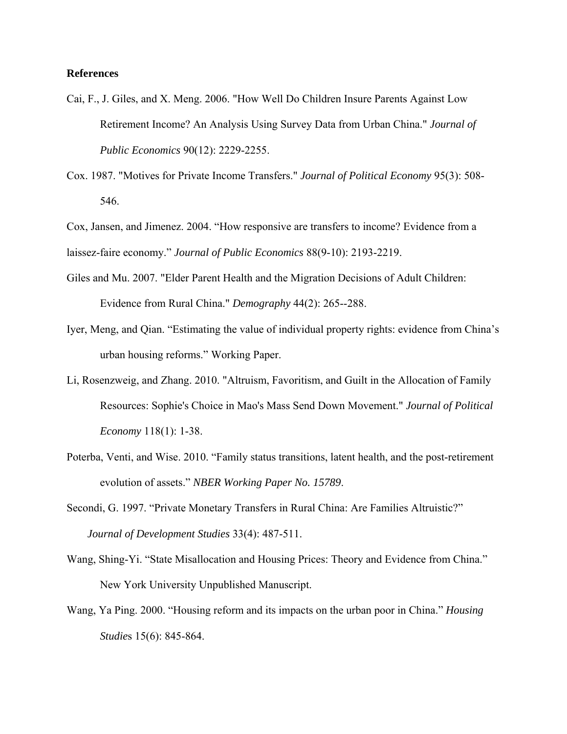# **References**

- Cai, F., J. Giles, and X. Meng. 2006. "How Well Do Children Insure Parents Against Low Retirement Income? An Analysis Using Survey Data from Urban China." *Journal of Public Economics* 90(12): 2229-2255.
- Cox. 1987. "Motives for Private Income Transfers." *Journal of Political Economy* 95(3): 508- 546.

Cox, Jansen, and Jimenez. 2004. "How responsive are transfers to income? Evidence from a laissez-faire economy." *Journal of Public Economics* 88(9-10): 2193-2219.

- Giles and Mu. 2007. "Elder Parent Health and the Migration Decisions of Adult Children: Evidence from Rural China." *Demography* 44(2): 265--288.
- Iyer, Meng, and Qian. "Estimating the value of individual property rights: evidence from China's urban housing reforms." Working Paper.
- Li, Rosenzweig, and Zhang. 2010. "Altruism, Favoritism, and Guilt in the Allocation of Family Resources: Sophie's Choice in Mao's Mass Send Down Movement." *Journal of Political Economy* 118(1): 1-38.
- Poterba, Venti, and Wise. 2010. "Family status transitions, latent health, and the post-retirement evolution of assets." *NBER Working Paper No. 15789*.
- Secondi, G. 1997. "Private Monetary Transfers in Rural China: Are Families Altruistic?" *Journal of Development Studies* 33(4): 487-511.
- Wang, Shing-Yi. "State Misallocation and Housing Prices: Theory and Evidence from China." New York University Unpublished Manuscript.
- Wang, Ya Ping. 2000. "Housing reform and its impacts on the urban poor in China." *Housing Studie*s 15(6): 845-864.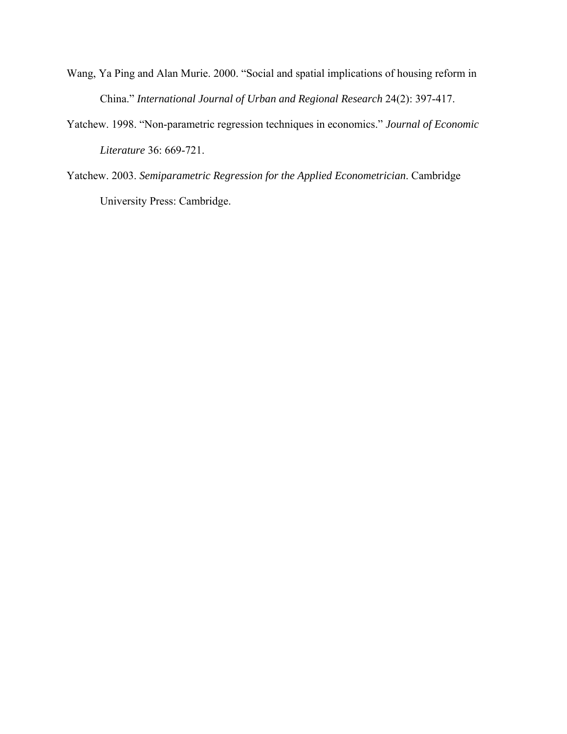- Wang, Ya Ping and Alan Murie. 2000. "Social and spatial implications of housing reform in China." *International Journal of Urban and Regional Research* 24(2): 397-417.
- Yatchew. 1998. "Non-parametric regression techniques in economics." *Journal of Economic Literature* 36: 669-721.
- Yatchew. 2003. *Semiparametric Regression for the Applied Econometrician*. Cambridge University Press: Cambridge.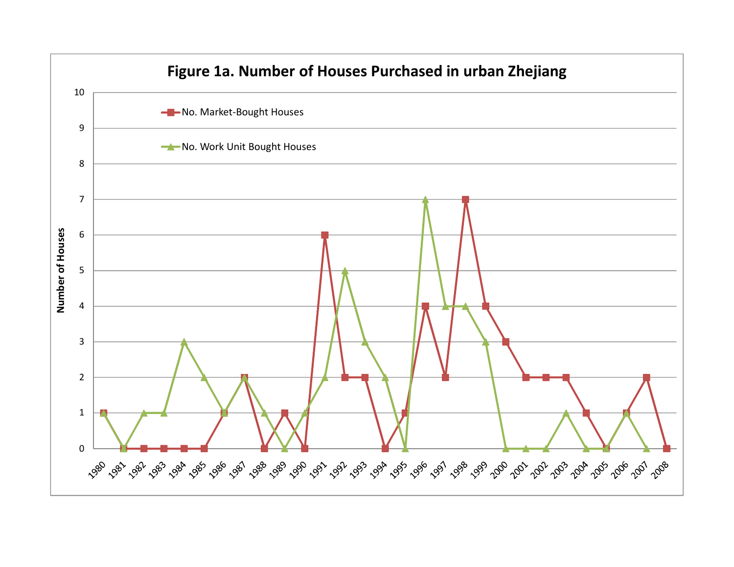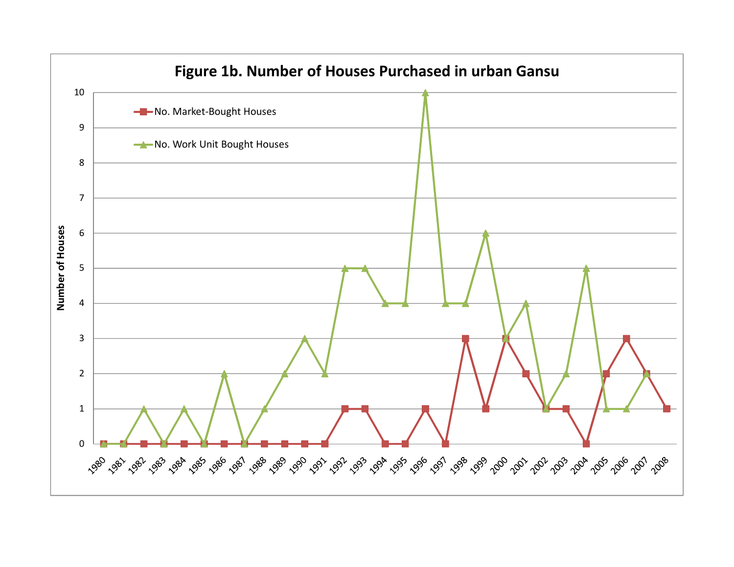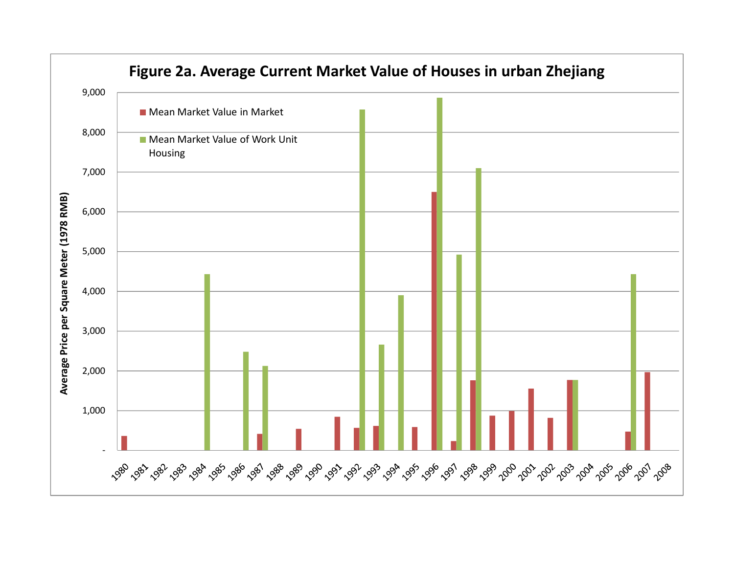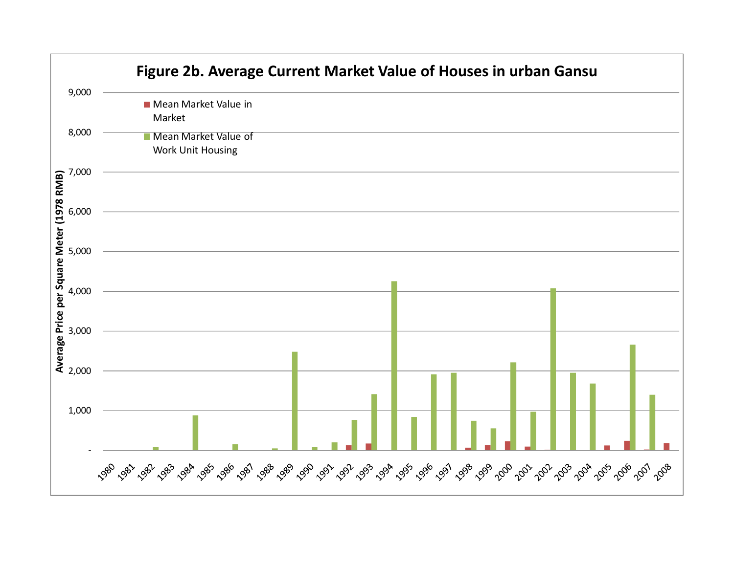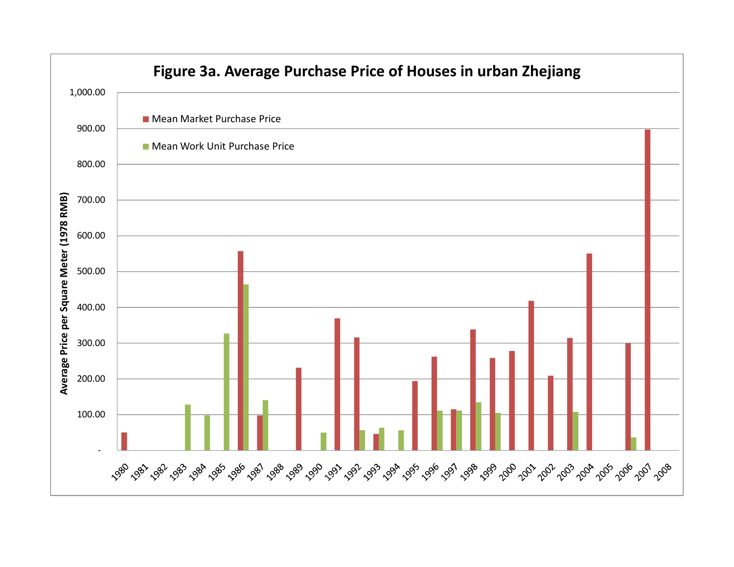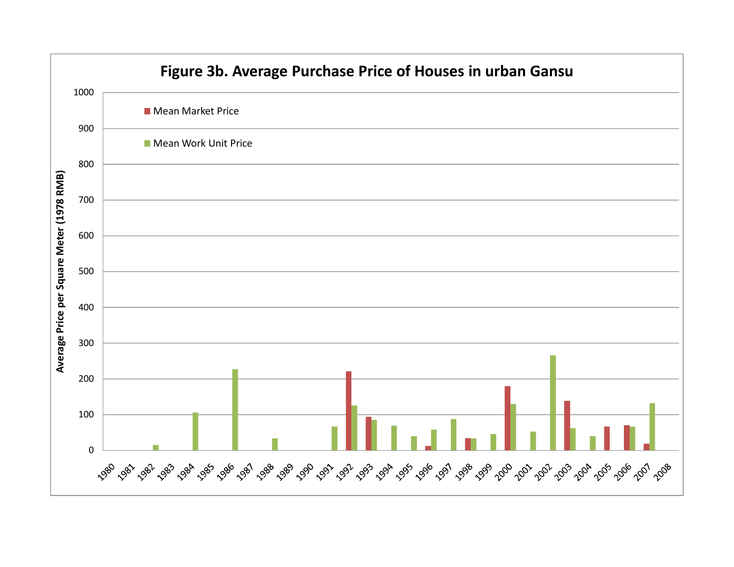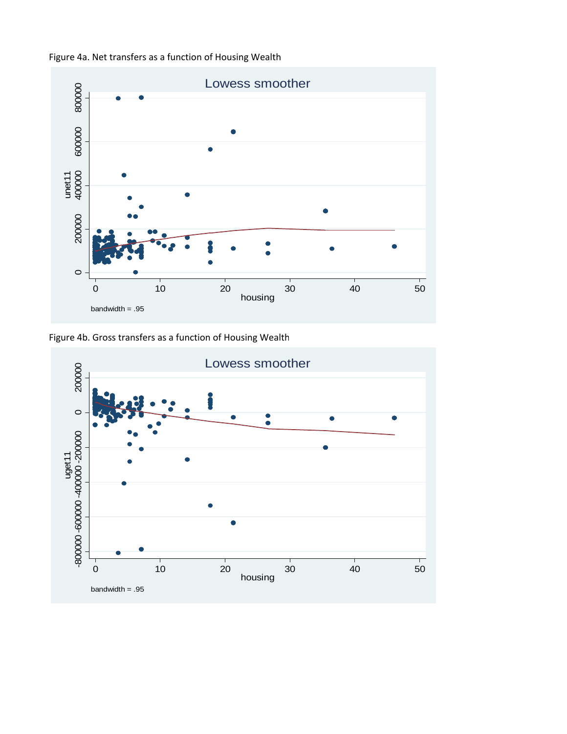



Figure 4b. Gross transfers as a function of Housing Wealth

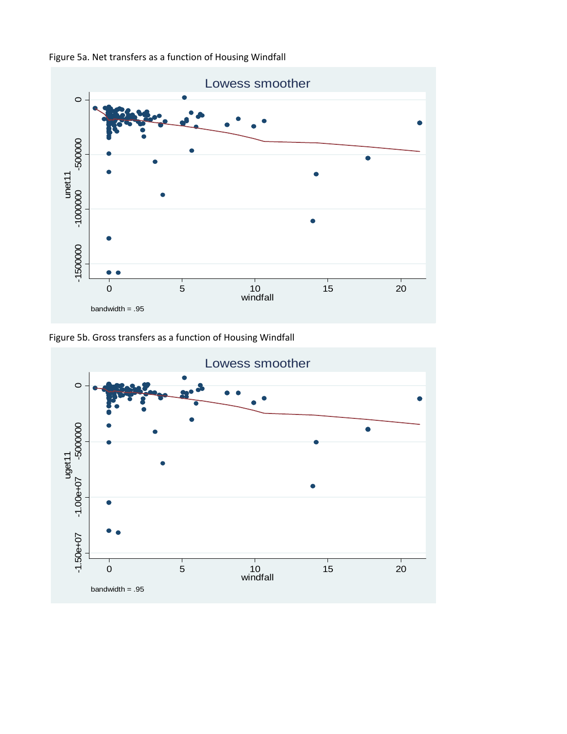



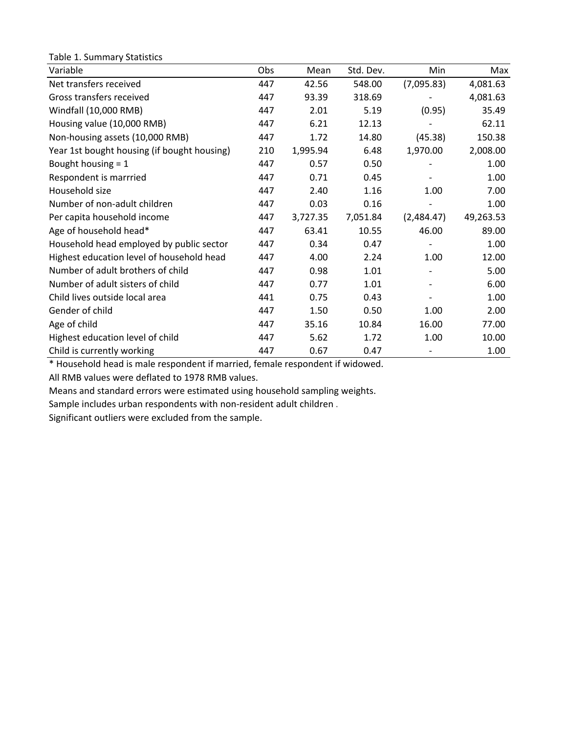| Table 1. Summary Statistics                 |     |          |           |            |           |
|---------------------------------------------|-----|----------|-----------|------------|-----------|
| Variable                                    | Obs | Mean     | Std. Dev. | Min        | Max       |
| Net transfers received                      | 447 | 42.56    | 548.00    | (7,095.83) | 4,081.63  |
| Gross transfers received                    | 447 | 93.39    | 318.69    |            | 4,081.63  |
| Windfall (10,000 RMB)                       | 447 | 2.01     | 5.19      | (0.95)     | 35.49     |
| Housing value (10,000 RMB)                  | 447 | 6.21     | 12.13     |            | 62.11     |
| Non-housing assets (10,000 RMB)             | 447 | 1.72     | 14.80     | (45.38)    | 150.38    |
| Year 1st bought housing (if bought housing) | 210 | 1,995.94 | 6.48      | 1,970.00   | 2,008.00  |
| Bought housing = 1                          | 447 | 0.57     | 0.50      |            | 1.00      |
| Respondent is marrried                      | 447 | 0.71     | 0.45      |            | 1.00      |
| Household size                              | 447 | 2.40     | 1.16      | 1.00       | 7.00      |
| Number of non-adult children                | 447 | 0.03     | 0.16      |            | 1.00      |
| Per capita household income                 | 447 | 3,727.35 | 7,051.84  | (2,484.47) | 49,263.53 |
| Age of household head*                      | 447 | 63.41    | 10.55     | 46.00      | 89.00     |
| Household head employed by public sector    | 447 | 0.34     | 0.47      |            | 1.00      |
| Highest education level of household head   | 447 | 4.00     | 2.24      | 1.00       | 12.00     |
| Number of adult brothers of child           | 447 | 0.98     | 1.01      |            | 5.00      |
| Number of adult sisters of child            | 447 | 0.77     | 1.01      |            | 6.00      |
| Child lives outside local area              | 441 | 0.75     | 0.43      |            | 1.00      |
| Gender of child                             | 447 | 1.50     | 0.50      | 1.00       | 2.00      |
| Age of child                                | 447 | 35.16    | 10.84     | 16.00      | 77.00     |
| Highest education level of child            | 447 | 5.62     | 1.72      | 1.00       | 10.00     |
| Child is currently working                  | 447 | 0.67     | 0.47      |            | 1.00      |

\* Household head is male respondent if married, female respondent if widowed.

All RMB values were deflated to 1978 RMB values.

Means and standard errors were estimated using household sampling weights.

Sample includes urban respondents with non‐resident adult children .

Significant outliers were excluded from the sample.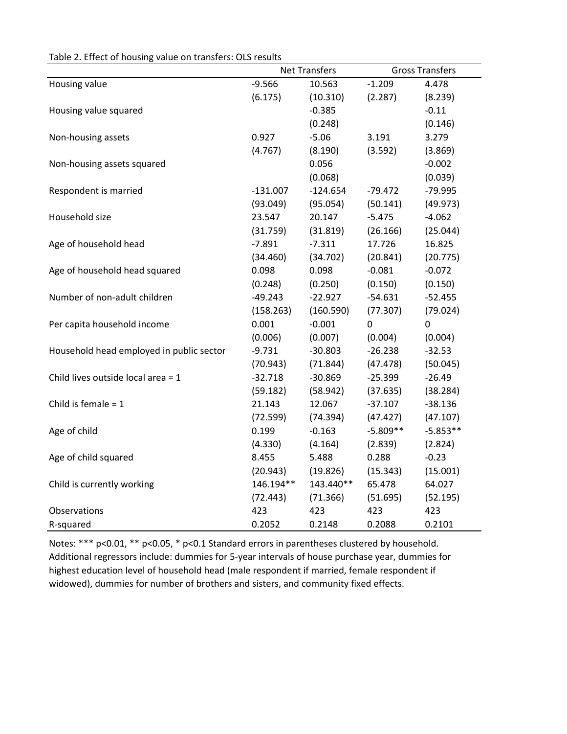|  |  | Table 2. Effect of housing value on transfers: OLS results |
|--|--|------------------------------------------------------------|
|--|--|------------------------------------------------------------|

|                                          | <b>Net Transfers</b> |            |             | <b>Gross Transfers</b> |
|------------------------------------------|----------------------|------------|-------------|------------------------|
| Housing value                            | $-9.566$             | 10.563     | $-1.209$    | 4.478                  |
|                                          | (6.175)              | (10.310)   | (2.287)     | (8.239)                |
| Housing value squared                    |                      | $-0.385$   |             | $-0.11$                |
|                                          |                      | (0.248)    |             | (0.146)                |
| Non-housing assets                       | 0.927                | $-5.06$    | 3.191       | 3.279                  |
|                                          | (4.767)              | (8.190)    | (3.592)     | (3.869)                |
| Non-housing assets squared               |                      | 0.056      |             | $-0.002$               |
|                                          |                      | (0.068)    |             | (0.039)                |
| Respondent is married                    | $-131.007$           | $-124.654$ | $-79.472$   | $-79.995$              |
|                                          | (93.049)             | (95.054)   | (50.141)    | (49.973)               |
| Household size                           | 23.547               | 20.147     | $-5.475$    | $-4.062$               |
|                                          | (31.759)             | (31.819)   | (26.166)    | (25.044)               |
| Age of household head                    | $-7.891$             | $-7.311$   | 17.726      | 16.825                 |
|                                          | (34.460)             | (34.702)   | (20.841)    | (20.775)               |
| Age of household head squared            | 0.098                | 0.098      | $-0.081$    | $-0.072$               |
|                                          | (0.248)              | (0.250)    | (0.150)     | (0.150)                |
| Number of non-adult children             | $-49.243$            | $-22.927$  | $-54.631$   | $-52.455$              |
|                                          | (158.263)            | (160.590)  | (77.307)    | (79.024)               |
| Per capita household income              | 0.001                | $-0.001$   | $\mathbf 0$ | $\mathbf 0$            |
|                                          | (0.006)              | (0.007)    | (0.004)     | (0.004)                |
| Household head employed in public sector | $-9.731$             | $-30.803$  | $-26.238$   | $-32.53$               |
|                                          | (70.943)             | (71.844)   | (47.478)    | (50.045)               |
| Child lives outside local area = 1       | $-32.718$            | $-30.869$  | $-25.399$   | $-26.49$               |
|                                          | (59.182)             | (58.942)   | (37.635)    | (38.284)               |
| Child is female $= 1$                    | 21.143               | 12.067     | $-37.107$   | $-38.136$              |
|                                          | (72.599)             | (74.394)   | (47.427)    | (47.107)               |
| Age of child                             | 0.199                | $-0.163$   | $-5.809**$  | $-5.853**$             |
|                                          | (4.330)              | (4.164)    | (2.839)     | (2.824)                |
| Age of child squared                     | 8.455                | 5.488      | 0.288       | $-0.23$                |
|                                          | (20.943)             | (19.826)   | (15.343)    | (15.001)               |
| Child is currently working               | 146.194**            | 143.440**  | 65.478      | 64.027                 |
|                                          | (72.443)             | (71.366)   | (51.695)    | (52.195)               |
| Observations                             | 423                  | 423        | 423         | 423                    |
| R-squared                                | 0.2052               | 0.2148     | 0.2088      | 0.2101                 |

Notes: \*\*\* p<0.01, \*\* p<0.05, \* p<0.1 Standard errors in parentheses clustered by household. Additional regressors include: dummies for 5‐year intervals of house purchase year, dummies for highest education level of household head (male respondent if married, female respondent if widowed), dummies for number of brothers and sisters, and community fixed effects.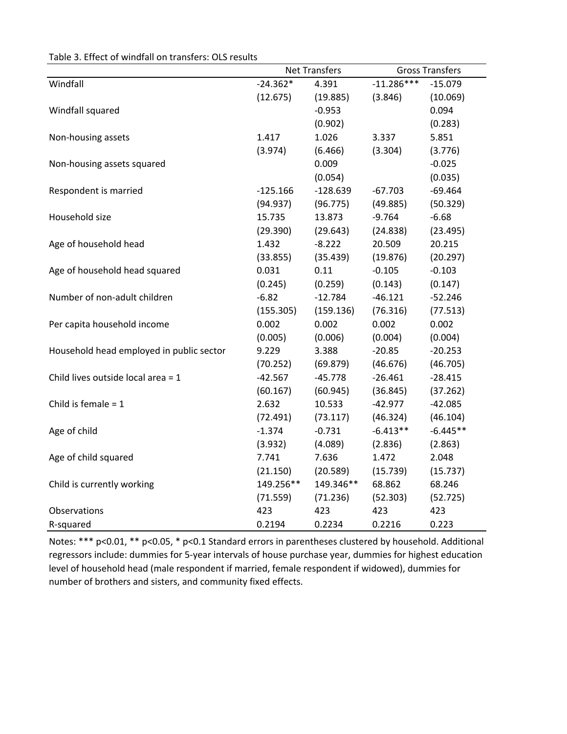|  | Table 3. Effect of windfall on transfers: OLS results |  |  |
|--|-------------------------------------------------------|--|--|
|--|-------------------------------------------------------|--|--|

|                                          | <b>Net Transfers</b> |            |              | <b>Gross Transfers</b> |
|------------------------------------------|----------------------|------------|--------------|------------------------|
| Windfall                                 | $-24.362*$           | 4.391      | $-11.286***$ | $-15.079$              |
|                                          | (12.675)             | (19.885)   | (3.846)      | (10.069)               |
| Windfall squared                         |                      | $-0.953$   |              | 0.094                  |
|                                          |                      | (0.902)    |              | (0.283)                |
| Non-housing assets                       | 1.417                | 1.026      | 3.337        | 5.851                  |
|                                          | (3.974)              | (6.466)    | (3.304)      | (3.776)                |
| Non-housing assets squared               |                      | 0.009      |              | $-0.025$               |
|                                          |                      | (0.054)    |              | (0.035)                |
| Respondent is married                    | $-125.166$           | $-128.639$ | $-67.703$    | $-69.464$              |
|                                          | (94.937)             | (96.775)   | (49.885)     | (50.329)               |
| Household size                           | 15.735               | 13.873     | $-9.764$     | $-6.68$                |
|                                          | (29.390)             | (29.643)   | (24.838)     | (23.495)               |
| Age of household head                    | 1.432                | $-8.222$   | 20.509       | 20.215                 |
|                                          | (33.855)             | (35.439)   | (19.876)     | (20.297)               |
| Age of household head squared            | 0.031                | 0.11       | $-0.105$     | $-0.103$               |
|                                          | (0.245)              | (0.259)    | (0.143)      | (0.147)                |
| Number of non-adult children             | $-6.82$              | $-12.784$  | $-46.121$    | $-52.246$              |
|                                          | (155.305)            | (159.136)  | (76.316)     | (77.513)               |
| Per capita household income              | 0.002                | 0.002      | 0.002        | 0.002                  |
|                                          | (0.005)              | (0.006)    | (0.004)      | (0.004)                |
| Household head employed in public sector | 9.229                | 3.388      | $-20.85$     | $-20.253$              |
|                                          | (70.252)             | (69.879)   | (46.676)     | (46.705)               |
| Child lives outside local area = 1       | $-42.567$            | $-45.778$  | $-26.461$    | $-28.415$              |
|                                          | (60.167)             | (60.945)   | (36.845)     | (37.262)               |
| Child is female $= 1$                    | 2.632                | 10.533     | $-42.977$    | $-42.085$              |
|                                          | (72.491)             | (73.117)   | (46.324)     | (46.104)               |
| Age of child                             | $-1.374$             | $-0.731$   | $-6.413**$   | $-6.445**$             |
|                                          | (3.932)              | (4.089)    | (2.836)      | (2.863)                |
| Age of child squared                     | 7.741                | 7.636      | 1.472        | 2.048                  |
|                                          | (21.150)             | (20.589)   | (15.739)     | (15.737)               |
| Child is currently working               | 149.256**            | 149.346**  | 68.862       | 68.246                 |
|                                          | (71.559)             | (71.236)   | (52.303)     | (52.725)               |
| Observations                             | 423                  | 423        | 423          | 423                    |
| R-squared                                | 0.2194               | 0.2234     | 0.2216       | 0.223                  |

Notes: \*\*\* p<0.01, \*\* p<0.05, \* p<0.1 Standard errors in parentheses clustered by household. Additional regressors include: dummies for 5‐year intervals of house purchase year, dummies for highest education level of household head (male respondent if married, female respondent if widowed), dummies for number of brothers and sisters, and community fixed effects.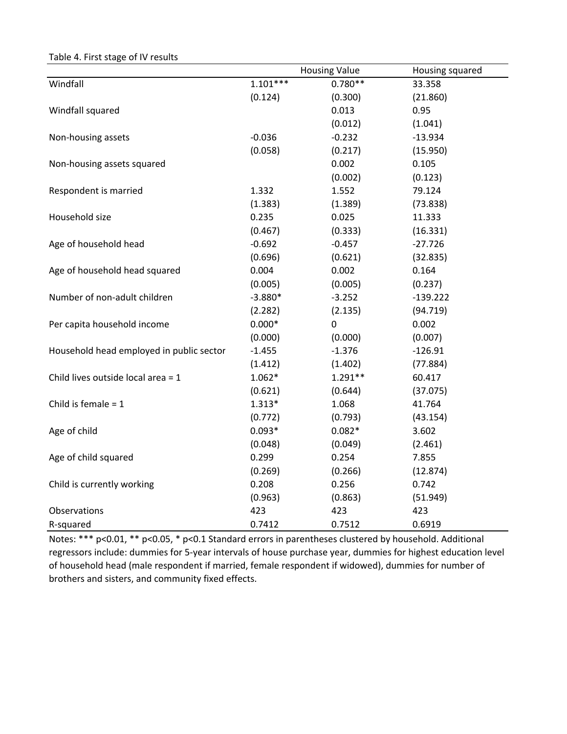|                                          |            | <b>Housing Value</b> | Housing squared |
|------------------------------------------|------------|----------------------|-----------------|
| Windfall                                 | $1.101***$ | $0.780**$            | 33.358          |
|                                          | (0.124)    | (0.300)              | (21.860)        |
| Windfall squared                         |            | 0.013                | 0.95            |
|                                          |            | (0.012)              | (1.041)         |
| Non-housing assets                       | $-0.036$   | $-0.232$             | $-13.934$       |
|                                          | (0.058)    | (0.217)              | (15.950)        |
| Non-housing assets squared               |            | 0.002                | 0.105           |
|                                          |            | (0.002)              | (0.123)         |
| Respondent is married                    | 1.332      | 1.552                | 79.124          |
|                                          | (1.383)    | (1.389)              | (73.838)        |
| Household size                           | 0.235      | 0.025                | 11.333          |
|                                          | (0.467)    | (0.333)              | (16.331)        |
| Age of household head                    | $-0.692$   | $-0.457$             | $-27.726$       |
|                                          | (0.696)    | (0.621)              | (32.835)        |
| Age of household head squared            | 0.004      | 0.002                | 0.164           |
|                                          | (0.005)    | (0.005)              | (0.237)         |
| Number of non-adult children             | $-3.880*$  | $-3.252$             | $-139.222$      |
|                                          | (2.282)    | (2.135)              | (94.719)        |
| Per capita household income              | $0.000*$   | 0                    | 0.002           |
|                                          | (0.000)    | (0.000)              | (0.007)         |
| Household head employed in public sector | $-1.455$   | $-1.376$             | $-126.91$       |
|                                          | (1.412)    | (1.402)              | (77.884)        |
| Child lives outside local area = 1       | $1.062*$   | $1.291**$            | 60.417          |
|                                          | (0.621)    | (0.644)              | (37.075)        |
| Child is female $= 1$                    | $1.313*$   | 1.068                | 41.764          |
|                                          | (0.772)    | (0.793)              | (43.154)        |
| Age of child                             | $0.093*$   | $0.082*$             | 3.602           |
|                                          | (0.048)    | (0.049)              | (2.461)         |
| Age of child squared                     | 0.299      | 0.254                | 7.855           |
|                                          | (0.269)    | (0.266)              | (12.874)        |
| Child is currently working               | 0.208      | 0.256                | 0.742           |
|                                          | (0.963)    | (0.863)              | (51.949)        |
| Observations                             | 423        | 423                  | 423             |
| R-squared                                | 0.7412     | 0.7512               | 0.6919          |

Table 4. First stage of IV results

Notes: \*\*\* p<0.01, \*\* p<0.05, \* p<0.1 Standard errors in parentheses clustered by household. Additional regressors include: dummies for 5‐year intervals of house purchase year, dummies for highest education level of household head (male respondent if married, female respondent if widowed), dummies for number of brothers and sisters, and community fixed effects.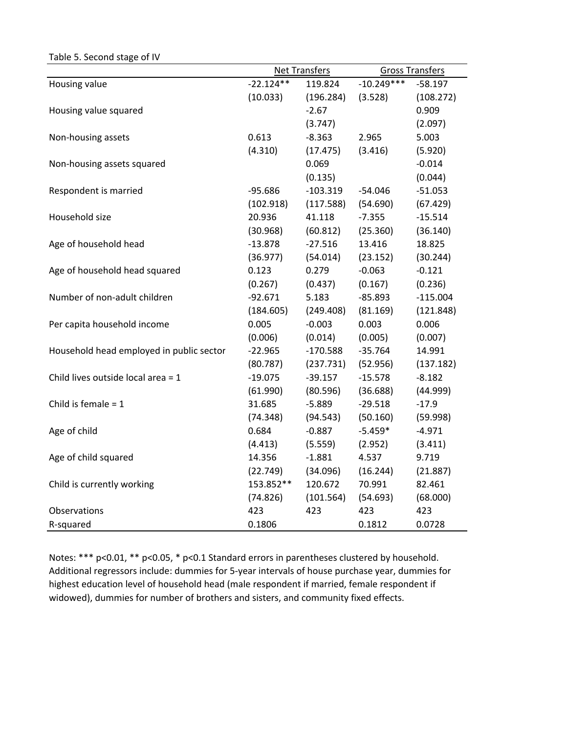| $\frac{1}{2}$                            |             |                      |              |                        |
|------------------------------------------|-------------|----------------------|--------------|------------------------|
|                                          |             | <b>Net Transfers</b> |              | <b>Gross Transfers</b> |
| Housing value                            | $-22.124**$ | 119.824              | $-10.249***$ | $-58.197$              |
|                                          | (10.033)    | (196.284)            | (3.528)      | (108.272)              |
| Housing value squared                    |             | $-2.67$              |              | 0.909                  |
|                                          |             | (3.747)              |              | (2.097)                |
| Non-housing assets                       | 0.613       | $-8.363$             | 2.965        | 5.003                  |
|                                          | (4.310)     | (17.475)             | (3.416)      | (5.920)                |
| Non-housing assets squared               |             | 0.069                |              | $-0.014$               |
|                                          |             | (0.135)              |              | (0.044)                |
| Respondent is married                    | $-95.686$   | $-103.319$           | $-54.046$    | $-51.053$              |
|                                          | (102.918)   | (117.588)            | (54.690)     | (67.429)               |
| Household size                           | 20.936      | 41.118               | $-7.355$     | $-15.514$              |
|                                          | (30.968)    | (60.812)             | (25.360)     | (36.140)               |
| Age of household head                    | $-13.878$   | $-27.516$            | 13.416       | 18.825                 |
|                                          | (36.977)    | (54.014)             | (23.152)     | (30.244)               |
| Age of household head squared            | 0.123       | 0.279                | $-0.063$     | $-0.121$               |
|                                          | (0.267)     | (0.437)              | (0.167)      | (0.236)                |
| Number of non-adult children             | $-92.671$   | 5.183                | $-85.893$    | $-115.004$             |
|                                          | (184.605)   | (249.408)            | (81.169)     | (121.848)              |
| Per capita household income              | 0.005       | $-0.003$             | 0.003        | 0.006                  |
|                                          | (0.006)     | (0.014)              | (0.005)      | (0.007)                |
| Household head employed in public sector | $-22.965$   | $-170.588$           | $-35.764$    | 14.991                 |
|                                          | (80.787)    | (237.731)            | (52.956)     | (137.182)              |
| Child lives outside local area = 1       | $-19.075$   | $-39.157$            | $-15.578$    | $-8.182$               |
|                                          | (61.990)    | (80.596)             | (36.688)     | (44.999)               |
| Child is female $= 1$                    | 31.685      | $-5.889$             | $-29.518$    | $-17.9$                |
|                                          | (74.348)    | (94.543)             | (50.160)     | (59.998)               |
| Age of child                             | 0.684       | $-0.887$             | $-5.459*$    | $-4.971$               |
|                                          | (4.413)     | (5.559)              | (2.952)      | (3.411)                |
| Age of child squared                     | 14.356      | $-1.881$             | 4.537        | 9.719                  |
|                                          | (22.749)    | (34.096)             | (16.244)     | (21.887)               |
| Child is currently working               | 153.852**   | 120.672              | 70.991       | 82.461                 |
|                                          | (74.826)    | (101.564)            | (54.693)     | (68.000)               |
| Observations                             | 423         | 423                  | 423          | 423                    |
| R-squared                                | 0.1806      |                      | 0.1812       | 0.0728                 |

Table 5. Second stage of IV

Notes: \*\*\* p<0.01, \*\* p<0.05, \* p<0.1 Standard errors in parentheses clustered by household. Additional regressors include: dummies for 5‐year intervals of house purchase year, dummies for highest education level of household head (male respondent if married, female respondent if widowed), dummies for number of brothers and sisters, and community fixed effects.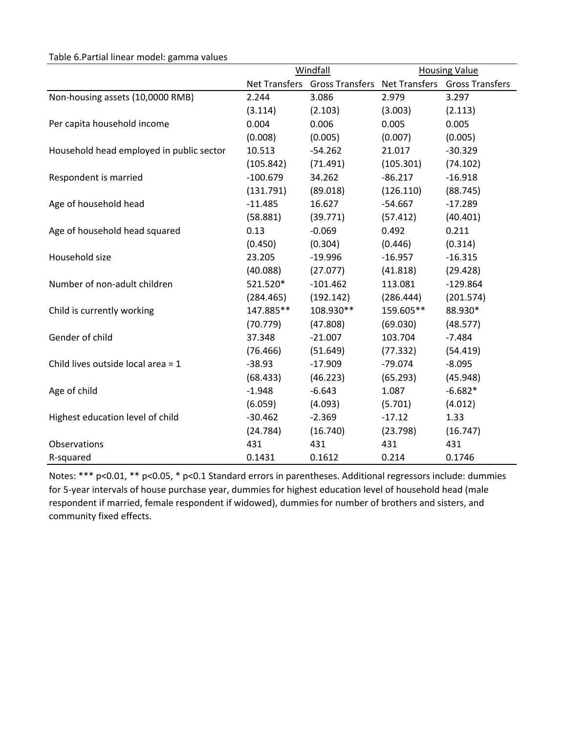#### Table 6.Partial linear model: gamma values

|                                          |            | Windfall                                                    | <b>Housing Value</b> |            |  |
|------------------------------------------|------------|-------------------------------------------------------------|----------------------|------------|--|
|                                          |            | Net Transfers Gross Transfers Net Transfers Gross Transfers |                      |            |  |
| Non-housing assets (10,0000 RMB)         | 2.244      | 3.086                                                       | 2.979                | 3.297      |  |
|                                          | (3.114)    | (2.103)                                                     | (3.003)              | (2.113)    |  |
| Per capita household income              | 0.004      | 0.006                                                       | 0.005                | 0.005      |  |
|                                          | (0.008)    | (0.005)                                                     | (0.007)              | (0.005)    |  |
| Household head employed in public sector | 10.513     | $-54.262$                                                   | 21.017               | $-30.329$  |  |
|                                          | (105.842)  | (71.491)                                                    | (105.301)            | (74.102)   |  |
| Respondent is married                    | $-100.679$ | 34.262                                                      | $-86.217$            | $-16.918$  |  |
|                                          | (131.791)  | (89.018)                                                    | (126.110)            | (88.745)   |  |
| Age of household head                    | $-11.485$  | 16.627                                                      | $-54.667$            | $-17.289$  |  |
|                                          | (58.881)   | (39.771)                                                    | (57.412)             | (40.401)   |  |
| Age of household head squared            | 0.13       | $-0.069$                                                    | 0.492                | 0.211      |  |
|                                          | (0.450)    | (0.304)                                                     | (0.446)              | (0.314)    |  |
| Household size                           | 23.205     | $-19.996$                                                   | $-16.957$            | $-16.315$  |  |
|                                          | (40.088)   | (27.077)                                                    | (41.818)             | (29.428)   |  |
| Number of non-adult children             | 521.520*   | $-101.462$                                                  | 113.081              | $-129.864$ |  |
|                                          | (284.465)  | (192.142)                                                   | (286.444)            | (201.574)  |  |
| Child is currently working               | 147.885**  | 108.930**                                                   | 159.605**            | 88.930*    |  |
|                                          | (70.779)   | (47.808)                                                    | (69.030)             | (48.577)   |  |
| Gender of child                          | 37.348     | $-21.007$                                                   | 103.704              | $-7.484$   |  |
|                                          | (76.466)   | (51.649)                                                    | (77.332)             | (54.419)   |  |
| Child lives outside local area $= 1$     | $-38.93$   | $-17.909$                                                   | $-79.074$            | $-8.095$   |  |
|                                          | (68.433)   | (46.223)                                                    | (65.293)             | (45.948)   |  |
| Age of child                             | $-1.948$   | $-6.643$                                                    | 1.087                | $-6.682*$  |  |
|                                          | (6.059)    | (4.093)                                                     | (5.701)              | (4.012)    |  |
| Highest education level of child         | $-30.462$  | $-2.369$                                                    | $-17.12$             | 1.33       |  |
|                                          | (24.784)   | (16.740)                                                    | (23.798)             | (16.747)   |  |
| Observations                             | 431        | 431                                                         | 431                  | 431        |  |
| R-squared                                | 0.1431     | 0.1612                                                      | 0.214                | 0.1746     |  |

Notes: \*\*\* p<0.01, \*\* p<0.05, \* p<0.1 Standard errors in parentheses. Additional regressors include: dummies for 5‐year intervals of house purchase year, dummies for highest education level of household head (male respondent if married, female respondent if widowed), dummies for number of brothers and sisters, and community fixed effects.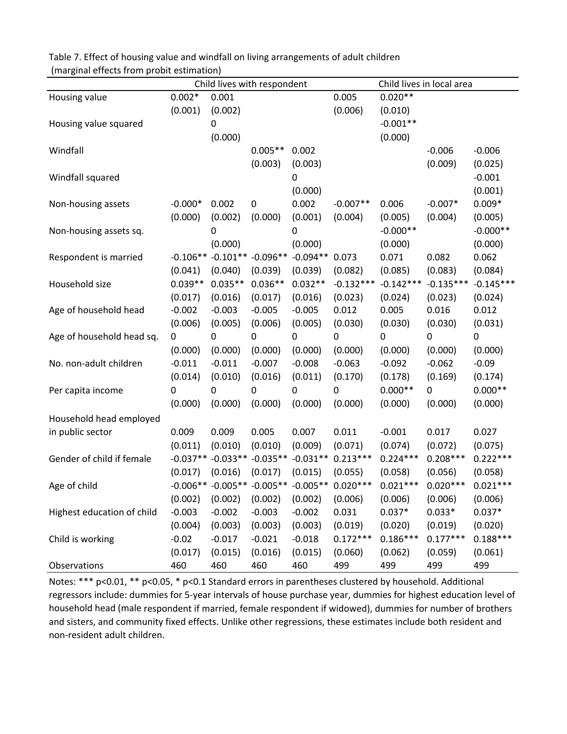| Table 7. Effect of housing value and windfall on living arrangements of adult children |
|----------------------------------------------------------------------------------------|
| (marginal effects from probit estimation)                                              |

|                            |           |                              | Child lives with respondent |                  |                                                       |             | Child lives in local area |             |
|----------------------------|-----------|------------------------------|-----------------------------|------------------|-------------------------------------------------------|-------------|---------------------------|-------------|
| Housing value              | $0.002*$  | 0.001                        |                             |                  | 0.005                                                 | $0.020**$   |                           |             |
|                            | (0.001)   | (0.002)                      |                             |                  | (0.006)                                               | (0.010)     |                           |             |
| Housing value squared      |           | $\mathbf 0$                  |                             |                  |                                                       | $-0.001**$  |                           |             |
|                            |           | (0.000)                      |                             |                  |                                                       | (0.000)     |                           |             |
| Windfall                   |           |                              | $0.005**$                   | 0.002            |                                                       |             | $-0.006$                  | $-0.006$    |
|                            |           |                              | (0.003)                     | (0.003)          |                                                       |             | (0.009)                   | (0.025)     |
| Windfall squared           |           |                              |                             | $\mathbf 0$      |                                                       |             |                           | $-0.001$    |
|                            |           |                              |                             | (0.000)          |                                                       |             |                           | (0.001)     |
| Non-housing assets         | $-0.000*$ | 0.002                        | 0                           | 0.002            | $-0.007**$                                            | 0.006       | $-0.007*$                 | $0.009*$    |
|                            | (0.000)   | (0.002)                      | (0.000)                     | (0.001)          | (0.004)                                               | (0.005)     | (0.004)                   | (0.005)     |
| Non-housing assets sq.     |           | $\mathbf 0$                  |                             | 0                |                                                       | $-0.000**$  |                           | $-0.000**$  |
|                            |           | (0.000)                      |                             | (0.000)          |                                                       | (0.000)     |                           | (0.000)     |
| Respondent is married      |           | $-0.106** -0.101** -0.096**$ |                             | $-0.094**$       | 0.073                                                 | 0.071       | 0.082                     | 0.062       |
|                            | (0.041)   | (0.040)                      | (0.039)                     | (0.039)          | (0.082)                                               | (0.085)     | (0.083)                   | (0.084)     |
| Household size             | $0.039**$ | $0.035**$                    | $0.036**$                   | $0.032**$        | $-0.132***$                                           | $-0.142***$ | $-0.135***$               | $-0.145***$ |
|                            | (0.017)   | (0.016)                      | (0.017)                     | (0.016)          | (0.023)                                               | (0.024)     | (0.023)                   | (0.024)     |
| Age of household head      | $-0.002$  | $-0.003$                     | $-0.005$                    | $-0.005$         | 0.012                                                 | 0.005       | 0.016                     | 0.012       |
|                            | (0.006)   | (0.005)                      | (0.006)                     | (0.005)          | (0.030)                                               | (0.030)     | (0.030)                   | (0.031)     |
| Age of household head sq.  | 0         | $\pmb{0}$                    | 0                           | $\boldsymbol{0}$ | 0                                                     | $\mathbf 0$ | 0                         | 0           |
|                            | (0.000)   | (0.000)                      | (0.000)                     | (0.000)          | (0.000)                                               | (0.000)     | (0.000)                   | (0.000)     |
| No. non-adult children     | $-0.011$  | $-0.011$                     | $-0.007$                    | $-0.008$         | $-0.063$                                              | $-0.092$    | $-0.062$                  | $-0.09$     |
|                            | (0.014)   | (0.010)                      | (0.016)                     | (0.011)          | (0.170)                                               | (0.178)     | (0.169)                   | (0.174)     |
| Per capita income          | 0         | $\pmb{0}$                    | 0                           | 0                | 0                                                     | $0.000**$   | 0                         | $0.000**$   |
|                            | (0.000)   | (0.000)                      | (0.000)                     | (0.000)          | (0.000)                                               | (0.000)     | (0.000)                   | (0.000)     |
| Household head employed    |           |                              |                             |                  |                                                       |             |                           |             |
| in public sector           | 0.009     | 0.009                        | 0.005                       | 0.007            | 0.011                                                 | $-0.001$    | 0.017                     | 0.027       |
|                            | (0.011)   | (0.010)                      | (0.010)                     | (0.009)          | (0.071)                                               | (0.074)     | (0.072)                   | (0.075)     |
| Gender of child if female  |           |                              |                             |                  | $-0.037**$ $-0.033**$ $-0.035**$ $-0.031**$ 0.213 *** | $0.224***$  | $0.208***$                | $0.222***$  |
|                            | (0.017)   | (0.016)                      | (0.017)                     | (0.015)          | (0.055)                                               | (0.058)     | (0.056)                   | (0.058)     |
| Age of child               |           |                              |                             |                  | $-0.006**$ $-0.005**$ $-0.005**$ $-0.005**$ 0.020 *** | $0.021***$  | $0.020***$                | $0.021***$  |
|                            | (0.002)   | (0.002)                      | (0.002)                     | (0.002)          | (0.006)                                               | (0.006)     | (0.006)                   | (0.006)     |
| Highest education of child | $-0.003$  | $-0.002$                     | $-0.003$                    | $-0.002$         | 0.031                                                 | $0.037*$    | $0.033*$                  | $0.037*$    |
|                            | (0.004)   | (0.003)                      | (0.003)                     | (0.003)          | (0.019)                                               | (0.020)     | (0.019)                   | (0.020)     |
| Child is working           | $-0.02$   | $-0.017$                     | $-0.021$                    | $-0.018$         | $0.172***$                                            | $0.186***$  | $0.177***$                | $0.188***$  |
|                            | (0.017)   | (0.015)                      | (0.016)                     | (0.015)          | (0.060)                                               | (0.062)     | (0.059)                   | (0.061)     |
| Observations               | 460       | 460                          | 460                         | 460              | 499                                                   | 499         | 499                       | 499         |

Notes: \*\*\* p<0.01, \*\* p<0.05, \* p<0.1 Standard errors in parentheses clustered by household. Additional regressors include: dummies for 5‐year intervals of house purchase year, dummies for highest education level of household head (male respondent if married, female respondent if widowed), dummies for number of brothers and sisters, and community fixed effects. Unlike other regressions, these estimates include both resident and non‐resident adult children.